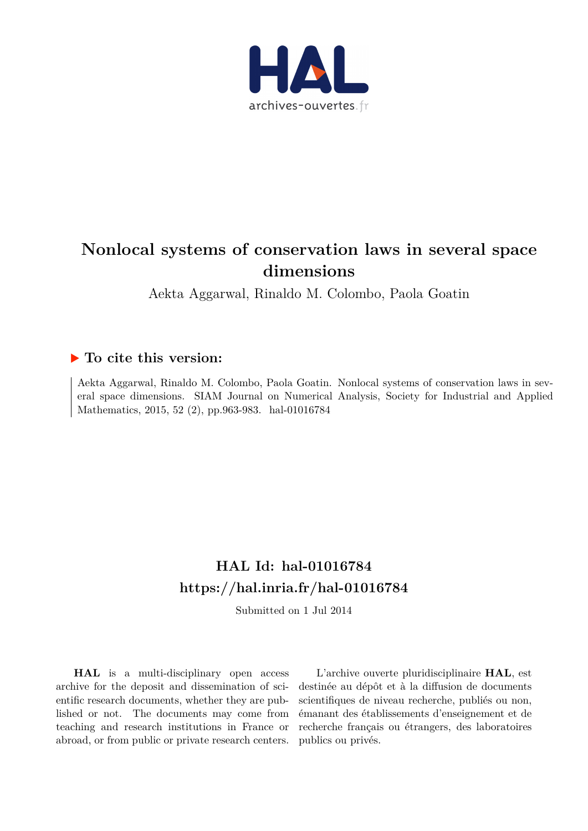

# **Nonlocal systems of conservation laws in several space dimensions**

Aekta Aggarwal, Rinaldo M. Colombo, Paola Goatin

## **To cite this version:**

Aekta Aggarwal, Rinaldo M. Colombo, Paola Goatin. Nonlocal systems of conservation laws in several space dimensions. SIAM Journal on Numerical Analysis, Society for Industrial and Applied Mathematics, 2015, 52 (2), pp.963-983. hal-01016784

# **HAL Id: hal-01016784 <https://hal.inria.fr/hal-01016784>**

Submitted on 1 Jul 2014

**HAL** is a multi-disciplinary open access archive for the deposit and dissemination of scientific research documents, whether they are published or not. The documents may come from teaching and research institutions in France or abroad, or from public or private research centers.

L'archive ouverte pluridisciplinaire **HAL**, est destinée au dépôt et à la diffusion de documents scientifiques de niveau recherche, publiés ou non, émanant des établissements d'enseignement et de recherche français ou étrangers, des laboratoires publics ou privés.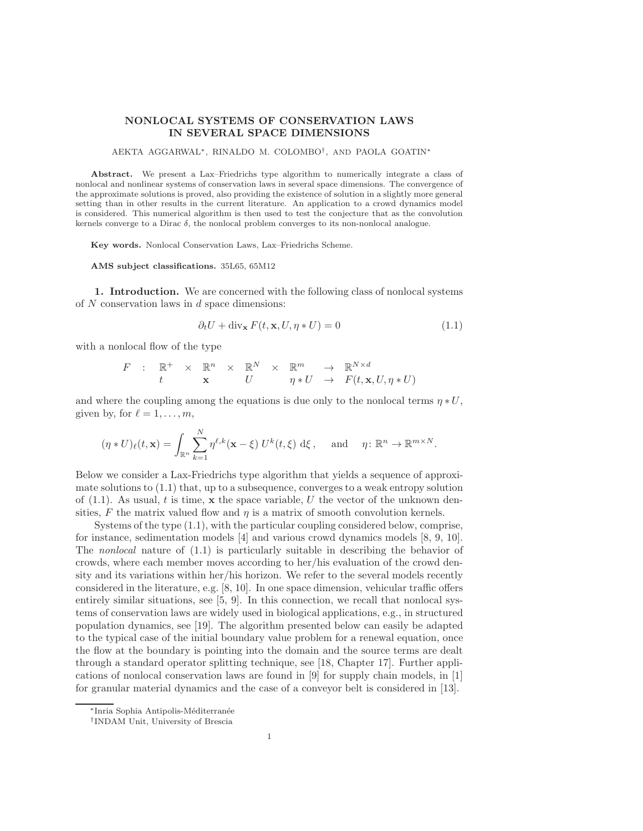### NONLOCAL SYSTEMS OF CONSERVATION LAWS IN SEVERAL SPACE DIMENSIONS

AEKTA AGGARWAL<sup>∗</sup> , RINALDO M. COLOMBO† , AND PAOLA GOATIN<sup>∗</sup>

Abstract. We present a Lax–Friedrichs type algorithm to numerically integrate a class of nonlocal and nonlinear systems of conservation laws in several space dimensions. The convergence of the approximate solutions is proved, also providing the existence of solution in a slightly more general setting than in other results in the current literature. An application to a crowd dynamics model is considered. This numerical algorithm is then used to test the conjecture that as the convolution kernels converge to a Dirac  $\delta$ , the nonlocal problem converges to its non-nonlocal analogue.

Key words. Nonlocal Conservation Laws, Lax–Friedrichs Scheme.

AMS subject classifications. 35L65, 65M12

1. Introduction. We are concerned with the following class of nonlocal systems of  $N$  conservation laws in  $d$  space dimensions:

<span id="page-1-0"></span>
$$
\partial_t U + \operatorname{div}_{\mathbf{x}} F(t, \mathbf{x}, U, \eta * U) = 0 \tag{1.1}
$$

with a nonlocal flow of the type

$$
F : \mathbb{R}^+ \times \mathbb{R}^n \times \mathbb{R}^N \times \mathbb{R}^m \to \mathbb{R}^{N \times d}
$$
  

$$
t \times U \longrightarrow \eta * U \rightarrow F(t, \mathbf{x}, U, \eta * U)
$$

and where the coupling among the equations is due only to the nonlocal terms  $\eta * U$ , given by, for  $\ell = 1, \ldots, m$ ,

$$
(\eta * U)_{\ell}(t, \mathbf{x}) = \int_{\mathbb{R}^n} \sum_{k=1}^N \eta^{\ell, k}(\mathbf{x} - \xi) U^k(t, \xi) d\xi, \text{ and } \eta \colon \mathbb{R}^n \to \mathbb{R}^{m \times N}.
$$

Below we consider a Lax-Friedrichs type algorithm that yields a sequence of approximate solutions to  $(1.1)$  that, up to a subsequence, converges to a weak entropy solution of  $(1.1)$ . As usual, t is time, x the space variable, U the vector of the unknown densities, F the matrix valued flow and  $\eta$  is a matrix of smooth convolution kernels.

Systems of the type [\(1.1\)](#page-1-0), with the particular coupling considered below, comprise, for instance, sedimentation models [\[4\]](#page-22-0) and various crowd dynamics models [\[8,](#page-22-1) [9,](#page-22-2) [10\]](#page-22-3). The nonlocal nature of [\(1.1\)](#page-1-0) is particularly suitable in describing the behavior of crowds, where each member moves according to her/his evaluation of the crowd density and its variations within her/his horizon. We refer to the several models recently considered in the literature, e.g. [\[8,](#page-22-1) [10\]](#page-22-3). In one space dimension, vehicular traffic offers entirely similar situations, see [\[5,](#page-22-4) [9\]](#page-22-2). In this connection, we recall that nonlocal systems of conservation laws are widely used in biological applications, e.g., in structured population dynamics, see [\[19\]](#page-22-5). The algorithm presented below can easily be adapted to the typical case of the initial boundary value problem for a renewal equation, once the flow at the boundary is pointing into the domain and the source terms are dealt through a standard operator splitting technique, see [\[18,](#page-22-6) Chapter 17]. Further applications of nonlocal conservation laws are found in [\[9\]](#page-22-2) for supply chain models, in [\[1\]](#page-22-7) for granular material dynamics and the case of a conveyor belt is considered in [\[13\]](#page-22-8).

<sup>∗</sup>Inria Sophia Antipolis-M´editerran´ee

<sup>†</sup> INDAM Unit, University of Brescia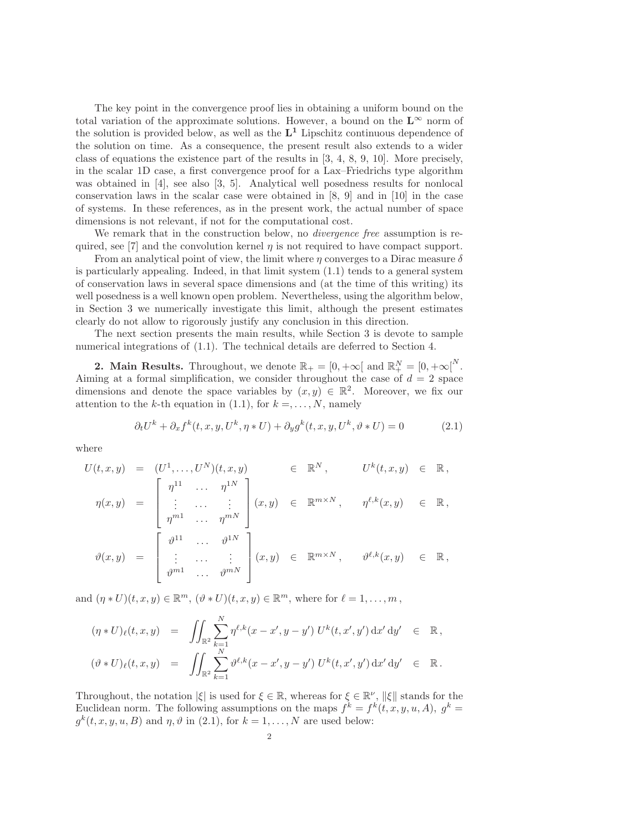The key point in the convergence proof lies in obtaining a uniform bound on the total variation of the approximate solutions. However, a bound on the  $L^{\infty}$  norm of the solution is provided below, as well as the  $L^1$  Lipschitz continuous dependence of the solution on time. As a consequence, the present result also extends to a wider class of equations the existence part of the results in [\[3,](#page-22-9) [4,](#page-22-0) [8,](#page-22-1) [9,](#page-22-2) [10\]](#page-22-3). More precisely, in the scalar 1D case, a first convergence proof for a Lax–Friedrichs type algorithm was obtained in [\[4\]](#page-22-0), see also [\[3,](#page-22-9) [5\]](#page-22-4). Analytical well posedness results for nonlocal conservation laws in the scalar case were obtained in [\[8,](#page-22-1) [9\]](#page-22-2) and in [\[10\]](#page-22-3) in the case of systems. In these references, as in the present work, the actual number of space dimensions is not relevant, if not for the computational cost.

We remark that in the construction below, no *divergence free* assumption is re-quired, see [\[7\]](#page-22-10) and the convolution kernel  $\eta$  is not required to have compact support.

From an analytical point of view, the limit where  $\eta$  converges to a Dirac measure  $\delta$ is particularly appealing. Indeed, in that limit system [\(1.1\)](#page-1-0) tends to a general system of conservation laws in several space dimensions and (at the time of this writing) its well posedness is a well known open problem. Nevertheless, using the algorithm below, in Section [3](#page-6-0) we numerically investigate this limit, although the present estimates clearly do not allow to rigorously justify any conclusion in this direction.

The next section presents the main results, while Section [3](#page-6-0) is devote to sample numerical integrations of  $(1.1)$ . The technical details are deferred to Section [4.](#page-10-0)

<span id="page-2-1"></span>**2. Main Results.** Throughout, we denote  $\mathbb{R}_+ = [0, +\infty[$  and  $\mathbb{R}_+^N = [0, +\infty[$ <sup>N</sup>. Aiming at a formal simplification, we consider throughout the case of  $d = 2$  space dimensions and denote the space variables by  $(x, y) \in \mathbb{R}^2$ . Moreover, we fix our attention to the k-th equation in [\(1.1\)](#page-1-0), for  $k = \ldots, N$ , namely

<span id="page-2-0"></span>
$$
\partial_t U^k + \partial_x f^k(t, x, y, U^k, \eta * U) + \partial_y g^k(t, x, y, U^k, \vartheta * U) = 0 \tag{2.1}
$$

where

$$
U(t, x, y) = (U^1, \dots, U^N)(t, x, y) \in \mathbb{R}^N, \qquad U^k(t, x, y) \in \mathbb{R},
$$
  
\n
$$
\eta(x, y) = \begin{bmatrix}\n\eta^{11} & \cdots & \eta^{1N} \\
\vdots & \cdots & \vdots \\
\eta^{m1} & \cdots & \eta^{mN}\n\end{bmatrix}(x, y) \in \mathbb{R}^{m \times N}, \qquad \eta^{\ell, k}(x, y) \in \mathbb{R},
$$
  
\n
$$
\vartheta(x, y) = \begin{bmatrix}\n\vartheta^{11} & \cdots & \vartheta^{1N} \\
\vdots & \cdots & \vdots \\
\vartheta^{m1} & \cdots & \vartheta^{mN}\n\end{bmatrix}(x, y) \in \mathbb{R}^{m \times N}, \qquad \vartheta^{\ell, k}(x, y) \in \mathbb{R},
$$

and  $(\eta * U)(t, x, y) \in \mathbb{R}^m$ ,  $(\vartheta * U)(t, x, y) \in \mathbb{R}^m$ , where for  $\ell = 1, \ldots, m$ ,

$$
(\eta * U)_{\ell}(t, x, y) = \iint_{\mathbb{R}^2} \sum_{k=1}^N \eta^{\ell, k} (x - x', y - y') U^k(t, x', y') dx' dy' \in \mathbb{R},
$$
  

$$
(\vartheta * U)_{\ell}(t, x, y) = \iint_{\mathbb{R}^2} \sum_{k=1}^N \vartheta^{\ell, k} (x - x', y - y') U^k(t, x', y') dx' dy' \in \mathbb{R}.
$$

Throughout, the notation  $|\xi|$  is used for  $\xi \in \mathbb{R}$ , whereas for  $\xi \in \mathbb{R}^{\nu}$ ,  $\|\xi\|$  stands for the Euclidean norm. The following assumptions on the maps  $f^k = f^k(t, x, y, u, A), g^k =$  $g^k(t, x, y, u, B)$  and  $\eta, \vartheta$  in [\(2.1\)](#page-2-0), for  $k = 1, ..., N$  are used below: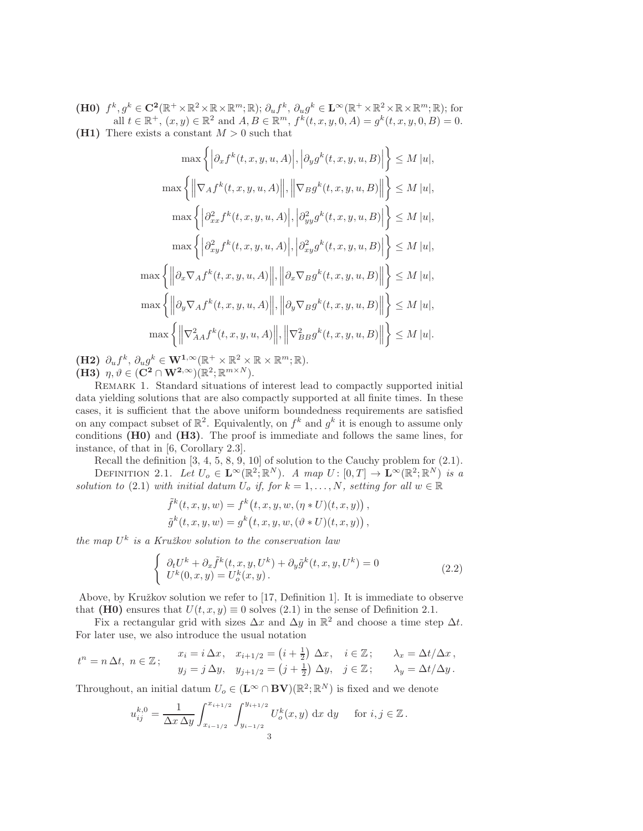(H0)  $f^k, g^k \in \mathbb{C}^2(\mathbb{R}^+ \times \mathbb{R}^2 \times \mathbb{R} \times \mathbb{R}^m; \mathbb{R}); \partial_u f^k, \partial_u g^k \in \mathbb{L}^\infty(\mathbb{R}^+ \times \mathbb{R}^2 \times \mathbb{R} \times \mathbb{R}^m; \mathbb{R});$  for all  $t \in \mathbb{R}^+$ ,  $(x, y) \in \mathbb{R}^2$  and  $A, B \in \mathbb{R}^m$ ,  $f^k(t, x, y, 0, A) = g^k(t, x, y, 0, B) = 0$ . (H1) There exists a constant  $M > 0$  such that

$$
\max \left\{ \left| \partial_x f^k(t, x, y, u, A) \right|, \left| \partial_y g^k(t, x, y, u, B) \right| \right\} \le M |u|,
$$
  

$$
\max \left\{ \left\| \nabla_A f^k(t, x, y, u, A) \right\|, \left\| \nabla_B g^k(t, x, y, u, B) \right\| \right\} \le M |u|,
$$
  

$$
\max \left\{ \left| \partial_{xx}^2 f^k(t, x, y, u, A) \right|, \left| \partial_{yy}^2 g^k(t, x, y, u, B) \right| \right\} \le M |u|,
$$
  

$$
\max \left\{ \left| \partial_{xy}^2 f^k(t, x, y, u, A) \right|, \left| \partial_{xy}^2 g^k(t, x, y, u, B) \right| \right\} \le M |u|,
$$
  

$$
\max \left\{ \left\| \partial_x \nabla_A f^k(t, x, y, u, A) \right\|, \left\| \partial_x \nabla_B g^k(t, x, y, u, B) \right\| \right\} \le M |u|,
$$
  

$$
\max \left\{ \left\| \partial_y \nabla_A f^k(t, x, y, u, A) \right\|, \left\| \partial_y \nabla_B g^k(t, x, y, u, B) \right\| \right\} \le M |u|,
$$
  

$$
\max \left\{ \left\| \nabla_A^2 f^k(t, x, y, u, A) \right\|, \left\| \nabla_B^2 g^k(t, x, y, u, B) \right\| \right\} \le M |u|.
$$
  

$$
\lim_{n \to \infty} \left\{ \left\| \nabla_A^2 f^k(t, x, y, u, A) \right\|, \left\| \nabla_B^2 g^k(t, x, y, u, B) \right\| \right\} \le M |u|.
$$

 $(H2)$   $\partial_u f^k$ ,  $\partial_u g^k \in \mathbf{W}^{1,\infty}(\mathbb{R}^+ \times \mathbb{R}^2 \times \mathbb{R} \times \mathbb{R}^m; \mathbb{R}).$  $(\mathbf{H3}\right)$   $\eta, \vartheta \in (\mathbf{C}^2 \cap \mathbf{W}^{2,\infty})(\mathbb{R}^2; \mathbb{R}^{m \times N}).$ 

<span id="page-3-1"></span>Remark 1. Standard situations of interest lead to compactly supported initial data yielding solutions that are also compactly supported at all finite times. In these cases, it is sufficient that the above uniform boundedness requirements are satisfied on any compact subset of  $\mathbb{R}^2$ . Equivalently, on  $f^k$  and  $g^k$  it is enough to assume only conditions (H0) and (H3). The proof is immediate and follows the same lines, for instance, of that in [\[6,](#page-22-11) Corollary 2.3].

<span id="page-3-0"></span>Recall the definition [\[3,](#page-22-9) [4,](#page-22-0) [5,](#page-22-4) [8,](#page-22-1) [9,](#page-22-2) [10\]](#page-22-3) of solution to the Cauchy problem for [\(2.1\)](#page-2-0). DEFINITION 2.1. Let  $U_o \in \mathbf{L}^{\infty}(\mathbb{R}^2; \mathbb{R}^N)$ . A map  $U : [0, T] \to \mathbf{L}^{\infty}(\mathbb{R}^2; \mathbb{R}^N)$  is a solution to [\(2.1\)](#page-2-0) with initial datum  $U_o$  if, for  $k = 1, ..., N$ , setting for all  $w \in \mathbb{R}$ 

<span id="page-3-2"></span>
$$
\tilde{f}^{k}(t, x, y, w) = f^{k}(t, x, y, w, (\eta * U)(t, x, y)), \tilde{g}^{k}(t, x, y, w) = g^{k}(t, x, y, w, (\vartheta * U)(t, x, y)),
$$

the map  $U^k$  is a Kružkov solution to the conservation law

$$
\begin{cases}\n\partial_t U^k + \partial_x \tilde{f}^k(t, x, y, U^k) + \partial_y \tilde{g}^k(t, x, y, U^k) = 0 \\
U^k(0, x, y) = U^k_{\delta}(x, y).\n\end{cases}
$$
\n(2.2)

Above, by Kružkov solution we refer to [\[17,](#page-22-12) Definition 1]. It is immediate to observe that (H0) ensures that  $U(t, x, y) \equiv 0$  solves [\(2.1\)](#page-2-0) in the sense of Definition [2.1.](#page-3-0)

Fix a rectangular grid with sizes  $\Delta x$  and  $\Delta y$  in  $\mathbb{R}^2$  and choose a time step  $\Delta t$ . For later use, we also introduce the usual notation

$$
t^n = n \, \Delta t, \ n \in \mathbb{Z} \, ; \qquad \begin{aligned} x_i &= i \, \Delta x, \quad x_{i+1/2} = \left(i + \frac{1}{2}\right) \, \Delta x, \quad i \in \mathbb{Z} \, ; \qquad \lambda_x = \Delta t / \Delta x \, , \\ y_j &= j \, \Delta y, \quad y_{j+1/2} = \left(j + \frac{1}{2}\right) \, \Delta y, \quad j \in \mathbb{Z} \, ; \qquad \lambda_y = \Delta t / \Delta y \, . \end{aligned}
$$

Throughout, an initial datum  $U_o \in (\mathbf{L}^{\infty} \cap \mathbf{BV})(\mathbb{R}^2; \mathbb{R}^N)$  is fixed and we denote

$$
u_{ij}^{k,0} = \frac{1}{\Delta x \, \Delta y} \int_{x_{i-1/2}}^{x_{i+1/2}} \int_{y_{i-1/2}}^{y_{i+1/2}} U_o^k(x, y) \, dx \, dy \quad \text{for } i, j \in \mathbb{Z}.
$$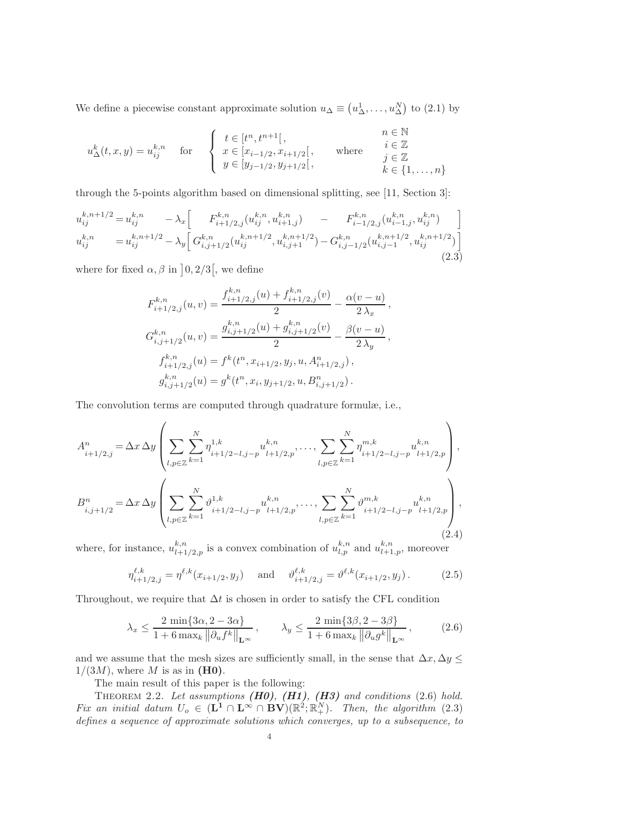We define a piecewise constant approximate solution  $u_{\Delta} \equiv (u_{\Delta}^1, \ldots, u_{\Delta}^N)$  to [\(2.1\)](#page-2-0) by

$$
u^k_{\Delta}(t,x,y) = u^{k,n}_{ij} \quad \text{for} \quad \begin{cases} t \in [t^n, t^{n+1}], & n \in \mathbb{N} \\ x \in [x_{i-1/2}, x_{i+1/2}], & \text{where} \\ y \in [y_{j-1/2}, y_{j+1/2}], & k \in \{1, \dots, n\} \end{cases}
$$

through the 5-points algorithm based on dimensional splitting, see [\[11,](#page-22-13) Section 3]:

$$
u_{ij}^{k,n+1/2} = u_{ij}^{k,n} - \lambda_x \left[ F_{i+1/2,j}^{k,n} (u_{ij}^{k,n}, u_{i+1,j}^{k,n}) - F_{i-1/2,j}^{k,n} (u_{i-1,j}^{k,n}, u_{ij}^{k,n}) \right]
$$
  
\n
$$
u_{ij}^{k,n} = u_{ij}^{k,n+1/2} - \lambda_y \left[ G_{i,j+1/2}^{k,n} (u_{ij}^{k,n+1/2}, u_{i,j+1}^{k,n+1/2}) - G_{i,j-1/2}^{k,n} (u_{i,j-1}^{k,n+1/2}, u_{ij}^{k,n+1/2}) \right]
$$
\n(2.3)

where for fixed  $\alpha, \beta$  in  $\vert 0, 2/3 \vert$ , we define

<span id="page-4-3"></span><span id="page-4-1"></span>
$$
F_{i+1/2,j}^{k,n}(u,v) = \frac{f_{i+1/2,j}^{k,n}(u) + f_{i+1/2,j}^{k,n}(v)}{2} - \frac{\alpha(v-u)}{2\lambda_x},
$$
  
\n
$$
G_{i,j+1/2}^{k,n}(u,v) = \frac{g_{i,j+1/2}^{k,n}(u) + g_{i,j+1/2}^{k,n}(v)}{2} - \frac{\beta(v-u)}{2\lambda_y},
$$
  
\n
$$
f_{i+1/2,j}^{k,n}(u) = f^k(t^n, x_{i+1/2}, y_j, u, A_{i+1/2,j}^n),
$$
  
\n
$$
g_{i,j+1/2}^{k,n}(u) = g^k(t^n, x_i, y_{j+1/2}, u, B_{i,j+1/2}^n).
$$

The convolution terms are computed through quadrature formulæ, i.e.,

$$
A_{i+1/2,j}^{n} = \Delta x \, \Delta y \left( \sum_{l,p \in \mathbb{Z}} \sum_{k=1}^{N} \eta_{i+1/2-l,j-p}^{1,k} u_{l+1/2,p}^{k,n}, \dots, \sum_{l,p \in \mathbb{Z}} \sum_{k=1}^{N} \eta_{i+1/2-l,j-p}^{m,k} u_{l+1/2,p}^{k,n} \right),
$$
  
\n
$$
B_{i,j+1/2}^{n} = \Delta x \, \Delta y \left( \sum_{l,p \in \mathbb{Z}} \sum_{k=1}^{N} \vartheta_{i+1/2-l,j-p}^{1,k} u_{l+1/2,p}^{k,n}, \dots, \sum_{l,p \in \mathbb{Z}} \sum_{k=1}^{N} \vartheta_{i+1/2-l,j-p}^{m,k} u_{l+1/2,p}^{k,n} \right),
$$
\n(2.4)

where, for instance,  $u_{l+1}^{k,n}$  $\binom{k,n}{l+1/2,p}$  is a convex combination of  $u_{l,p}^{k,n}$  and  $u_{l+1,p}^{k,n}$ , moreover

<span id="page-4-4"></span><span id="page-4-0"></span>
$$
\eta_{i+1/2,j}^{\ell,k} = \eta^{\ell,k}(x_{i+1/2}, y_j) \quad \text{and} \quad \vartheta_{i+1/2,j}^{\ell,k} = \vartheta^{\ell,k}(x_{i+1/2}, y_j). \tag{2.5}
$$

Throughout, we require that  $\Delta t$  is chosen in order to satisfy the CFL condition

<span id="page-4-2"></span>
$$
\lambda_x \le \frac{2 \min\{3\alpha, 2 - 3\alpha\}}{1 + 6 \max_k \|\partial_u f^k\|_{\mathbf{L}^\infty}}, \qquad \lambda_y \le \frac{2 \min\{3\beta, 2 - 3\beta\}}{1 + 6 \max_k \|\partial_u g^k\|_{\mathbf{L}^\infty}}, \tag{2.6}
$$

and we assume that the mesh sizes are sufficiently small, in the sense that  $\Delta x, \Delta y \leq$  $1/(3M)$ , where M is as in (H0).

The main result of this paper is the following:

THEOREM 2.2. Let assumptions  $(H0)$ ,  $(H1)$ ,  $(H3)$  and conditions  $(2.6)$  hold. Fix an initial datum  $U_o \in (\mathbf{L}^1 \cap \mathbf{L}^{\infty} \cap \mathbf{BV})(\mathbb{R}^2; \mathbb{R}^N_+)$ . Then, the algorithm [\(2.3\)](#page-4-1) defines a sequence of approximate solutions which converges, up to a subsequence, to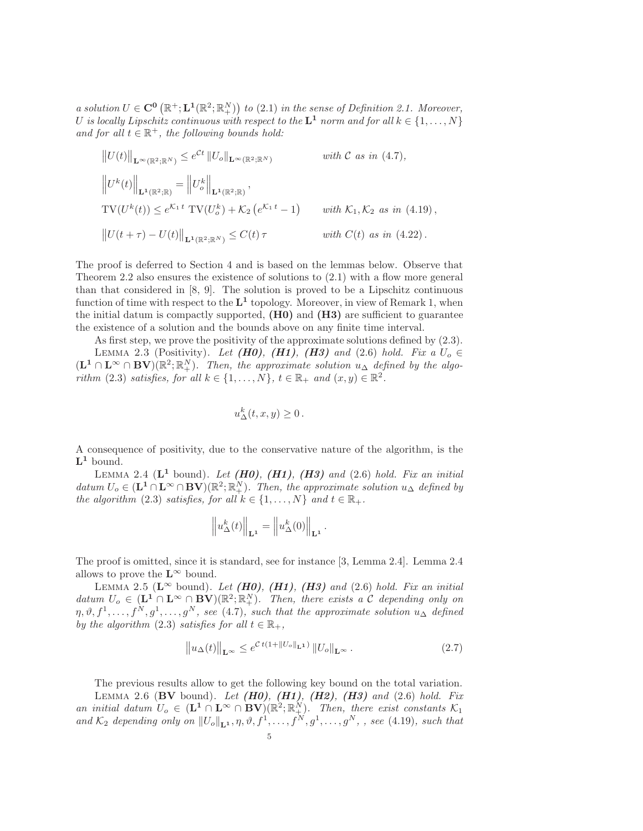a solution  $U \in \mathbb{C}^0 (\mathbb{R}^+; \mathbf{L}^1(\mathbb{R}^2; \mathbb{R}^N_+))$  to  $(2.1)$  in the sense of Definition [2.1.](#page-3-0) Moreover, U is locally Lipschitz continuous with respect to the  $\mathbf{L}^1$  norm and for all  $k \in \{1, \ldots, N\}$ and for all  $t \in \mathbb{R}^+$ , the following bounds hold:

$$
||U(t)||_{\mathbf{L}^{\infty}(\mathbb{R}^2;\mathbb{R}^N)} \leq e^{Ct} ||U_o||_{\mathbf{L}^{\infty}(\mathbb{R}^2;\mathbb{R}^N)}
$$
 with C as in (4.7),  
\n
$$
||U^k(t)||_{\mathbf{L}^1(\mathbb{R}^2;\mathbb{R})} = ||U_o^k||_{\mathbf{L}^1(\mathbb{R}^2;\mathbb{R})},
$$
  
\nTV
$$
|U^{k}(t)| \leq e^{K_1 t} \text{TV}(U_o^k) + K_2(e^{K_1 t} - 1)
$$
 with  $K_1, K_2$  as in (4.19),  
\n
$$
||U(t + \tau) - U(t)||_{\mathbf{L}^1(\mathbb{R}^2;\mathbb{R}^N)} \leq C(t)\tau
$$
 with  $C(t)$  as in (4.22).

The proof is deferred to Section [4](#page-10-0) and is based on the lemmas below. Observe that Theorem [2.2](#page-4-2) also ensures the existence of solutions to [\(2.1\)](#page-2-0) with a flow more general than that considered in [\[8,](#page-22-1) [9\]](#page-22-2). The solution is proved to be a Lipschitz continuous function of time with respect to the  $L^1$  topology. Moreover, in view of Remark [1,](#page-3-1) when the initial datum is compactly supported,  $(H0)$  and  $(H3)$  are sufficient to guarantee the existence of a solution and the bounds above on any finite time interval.

As first step, we prove the positivity of the approximate solutions defined by [\(2.3\)](#page-4-1).

<span id="page-5-1"></span>LEMMA 2.3 (Positivity). Let (H0), (H1), (H3) and [\(2.6\)](#page-4-0) hold. Fix a  $U_0 \in$  $(\mathbf{L}^1 \cap \mathbf{L}^{\infty} \cap \mathbf{BV}) (\mathbb{R}^2; \mathbb{R}^N_+)$ . Then, the approximate solution  $u_{\Delta}$  defined by the algo-rithm [\(2.3\)](#page-4-1) satisfies, for all  $k \in \{1, ..., N\}$ ,  $t \in \mathbb{R}_+$  and  $(x, y) \in \mathbb{R}^2$ .

$$
u_{\Delta}^k(t,x,y)\geq 0.
$$

A consequence of positivity, due to the conservative nature of the algorithm, is the  $\mathbf{L}^1$  bound.

<span id="page-5-0"></span>LEMMA 2.4 ( $L^1$  bound). Let  $(H0)$ ,  $(H1)$ ,  $(H3)$  and  $(2.6)$  hold. Fix an initial datum  $U_o \in (\mathbf{L}^1 \cap \mathbf{L}^{\infty} \cap \mathbf{BV})(\mathbb{R}^2; \mathbb{R}^N_+)$ . Then, the approximate solution  $u_{\Delta}$  defined by the algorithm [\(2.3\)](#page-4-1) satisfies, for all  $k \in \{1, ..., N\}$  and  $t \in \mathbb{R}_+$ .

$$
\left\|u_{\Delta}^{k}(t)\right\|_{\mathbf{L}^{1}}=\left\|u_{\Delta}^{k}(0)\right\|_{\mathbf{L}^{1}}.
$$

The proof is omitted, since it is standard, see for instance [\[3,](#page-22-9) Lemma 2.4]. Lemma [2.4](#page-5-0) allows to prove the  $\mathbf{L}^{\infty}$  bound.

<span id="page-5-2"></span>LEMMA 2.5 ( $\mathbf{L}^{\infty}$  bound). Let (H0), (H1), (H3) and [\(2.6\)](#page-4-0) hold. Fix an initial datum  $U_o \in (\mathbf{L}^1 \cap \mathbf{L}^{\infty} \cap \mathbf{BV})(\mathbb{R}^2; \mathbb{R}^N_+)$ . Then, there exists a C depending only on  $\eta, \vartheta, f^1, \ldots, f^N, g^1, \ldots, g^N$ , see [\(4.7\)](#page-13-0), such that the approximate solution  $u_{\Delta}$  defined by the algorithm [\(2.3\)](#page-4-1) satisfies for all  $t \in \mathbb{R}_+$ ,

<span id="page-5-3"></span>
$$
\left\|u_{\Delta}(t)\right\|_{\mathbf{L}^{\infty}} \leq e^{\mathcal{C}t(1+\left\|U_o\right\|_{\mathbf{L}^1})}\left\|U_o\right\|_{\mathbf{L}^{\infty}}.\tag{2.7}
$$

<span id="page-5-4"></span>The previous results allow to get the following key bound on the total variation. LEMMA 2.6 (BV bound). Let  $(H0)$ ,  $(H1)$ ,  $(H2)$ ,  $(H3)$  and  $(2.6)$  hold. Fix an initial datum  $U_o \in (\mathbf{L}^1 \cap \mathbf{L}^{\infty} \cap \mathbf{BV})(\mathbb{R}^2; \mathbb{R}^N_+)$ . Then, there exist constants  $\mathcal{K}_1$ and  $\mathcal{K}_2$  depending only on  $||U_o||_{\mathbf{L}^1}$ ,  $\eta$ ,  $\vartheta$ ,  $f^1, \ldots, f^N, g^1, \ldots, g^N$ , , see [\(4.19\)](#page-20-0), such that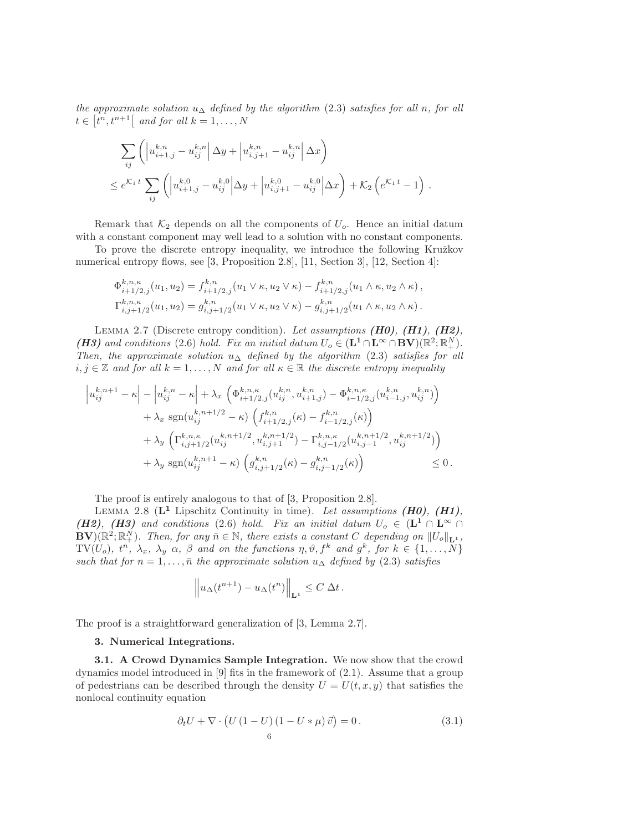the approximate solution  $u_{\Delta}$  defined by the algorithm [\(2.3\)](#page-4-1) satisfies for all n, for all  $t \in [t^n, t^{n+1}]$  and for all  $k = 1, \ldots, N$ 

$$
\sum_{ij} \left( \left| u_{i+1,j}^{k,n} - u_{ij}^{k,n} \right| \Delta y + \left| u_{i,j+1}^{k,n} - u_{ij}^{k,n} \right| \Delta x \right)
$$
\n
$$
\leq e^{K_1 t} \sum_{ij} \left( \left| u_{i+1,j}^{k,0} - u_{ij}^{k,0} \right| \Delta y + \left| u_{i,j+1}^{k,0} - u_{ij}^{k,0} \right| \Delta x \right) + K_2 \left( e^{K_1 t} - 1 \right).
$$

Remark that  $K_2$  depends on all the components of  $U_o$ . Hence an initial datum with a constant component may well lead to a solution with no constant components.

To prove the discrete entropy inequality, we introduce the following Kružkov numerical entropy flows, see [\[3,](#page-22-9) Proposition 2.8], [\[11,](#page-22-13) Section 3], [\[12,](#page-22-14) Section 4]:

$$
\Phi_{i+1/2,j}^{k,n,\kappa}(u_1, u_2) = f_{i+1/2,j}^{k,n}(u_1 \vee \kappa, u_2 \vee \kappa) - f_{i+1/2,j}^{k,n}(u_1 \wedge \kappa, u_2 \wedge \kappa),
$$
  

$$
\Gamma_{i,j+1/2}^{k,n,\kappa}(u_1, u_2) = g_{i,j+1/2}^{k,n}(u_1 \vee \kappa, u_2 \vee \kappa) - g_{i,j+1/2}^{k,n}(u_1 \wedge \kappa, u_2 \wedge \kappa).
$$

<span id="page-6-3"></span>LEMMA 2.7 (Discrete entropy condition). Let assumptions  $(H0)$ ,  $(H1)$ ,  $(H2)$ , (H3) and conditions [\(2.6\)](#page-4-0) hold. Fix an initial datum  $U_o \in (\mathbf{L}^1 \cap \mathbf{L}^{\infty} \cap \mathbf{BV})(\mathbb{R}^2; \mathbb{R}^N_+).$ Then, the approximate solution  $u_{\Delta}$  defined by the algorithm [\(2.3\)](#page-4-1) satisfies for all  $i, j \in \mathbb{Z}$  and for all  $k = 1, ..., N$  and for all  $\kappa \in \mathbb{R}$  the discrete entropy inequality

$$
\left| u_{ij}^{k,n+1} - \kappa \right| - \left| u_{ij}^{k,n} - \kappa \right| + \lambda_x \left( \Phi_{i+1/2,j}^{k,n,\kappa} (u_{ij}^{k,n}, u_{i+1,j}^{k,n}) - \Phi_{i-1/2,j}^{k,n,\kappa} (u_{i-1,j}^{k,n}, u_{ij}^{k,n}) \right) + \lambda_x \operatorname{sgn}(u_{ij}^{k,n+1/2} - \kappa) \left( f_{i+1/2,j}^{k,n} (\kappa) - f_{i-1/2,j}^{k,n} (\kappa) \right) + \lambda_y \left( \Gamma_{i,j+1/2}^{k,n,\kappa} (u_{ij}^{k,n+1/2}, u_{i,j+1}^{k,n+1/2}) - \Gamma_{i,j-1/2}^{k,n,\kappa} (u_{i,j-1}^{k,n+1/2}, u_{ij}^{k,n+1/2}) \right) + \lambda_y \operatorname{sgn}(u_{ij}^{k,n+1} - \kappa) \left( g_{i,j+1/2}^{k,n} (\kappa) - g_{i,j-1/2}^{k,n} (\kappa) \right) \leq 0.
$$

The proof is entirely analogous to that of [\[3,](#page-22-9) Proposition 2.8].

<span id="page-6-2"></span>LEMMA 2.8 ( $L^1$  Lipschitz Continuity in time). Let assumptions (H0), (H1), (H2), (H3) and conditions [\(2.6\)](#page-4-0) hold. Fix an initial datum  $U_o \in (L^1 \cap L^{\infty} \cap$  $\mathbf{BV}^{\gamma}(\mathbb{R}^2;\mathbb{R}^N_+)$ . Then, for any  $\overline{n} \in \mathbb{N}$ , there exists a constant C depending on  $||U_o||_{\mathbf{L}^1}$ , TV(U<sub>o</sub>),  $t^n$ ,  $\lambda_x$ ,  $\lambda_y$   $\alpha$ ,  $\beta$  and on the functions  $\eta$ ,  $\vartheta$ ,  $f^k$  and  $g^k$ , for  $k \in \{1, ..., N\}$ such that for  $n = 1, \ldots, \bar{n}$  the approximate solution  $u_{\Delta}$  defined by [\(2.3\)](#page-4-1) satisfies

$$
\left\| u_{\Delta}(t^{n+1}) - u_{\Delta}(t^n) \right\|_{\mathbf{L}^1} \leq C \, \Delta t \, .
$$

<span id="page-6-0"></span>The proof is a straightforward generalization of [\[3,](#page-22-9) Lemma 2.7].

#### 3. Numerical Integrations.

3.1. A Crowd Dynamics Sample Integration. We now show that the crowd dynamics model introduced in [\[9\]](#page-22-2) fits in the framework of [\(2.1\)](#page-2-0). Assume that a group of pedestrians can be described through the density  $U = U(t, x, y)$  that satisfies the nonlocal continuity equation

<span id="page-6-1"></span>
$$
\partial_t U + \nabla \cdot \left( U \left( 1 - U \right) \left( 1 - U \ast \mu \right) \vec{v} \right) = 0. \tag{3.1}
$$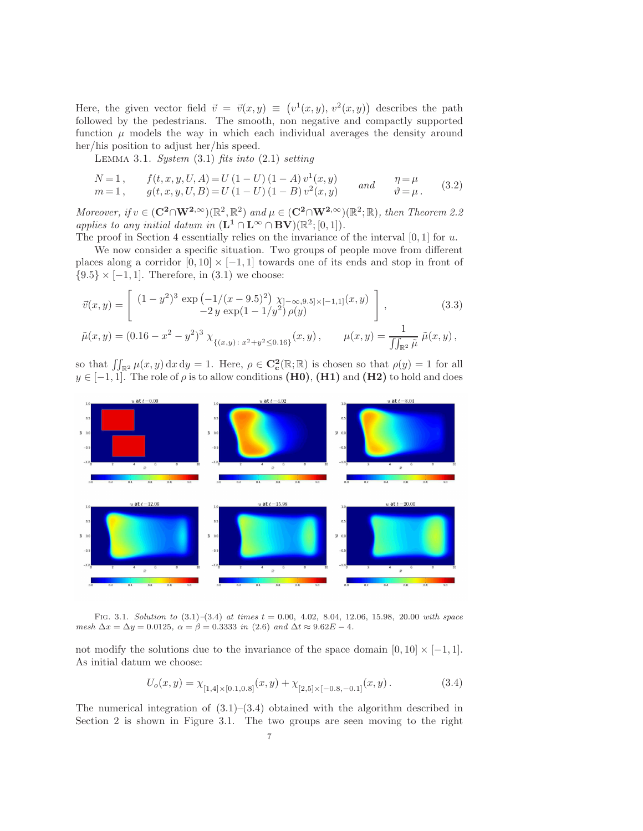Here, the given vector field  $\vec{v} = \vec{v}(x, y) \equiv (v^1(x, y), v^2(x, y))$  describes the path followed by the pedestrians. The smooth, non negative and compactly supported function  $\mu$  models the way in which each individual averages the density around her/his position to adjust her/his speed.

<span id="page-7-4"></span><span id="page-7-3"></span>LEMMA 3.1. System  $(3.1)$  fits into  $(2.1)$  setting

$$
N=1, \t f(t, x, y, U, A) = U (1 - U) (1 - A) v1(x, y) \t and \t \eta = \mu m=1, \t g(t, x, y, U, B) = U (1 - U) (1 - B) v2(x, y) \t and \t \eta = \mu.
$$
 (3.2)

Moreover, if  $v \in (\mathbf{C}^2 \cap \mathbf{W}^2) \otimes (\mathbb{R}^2, \mathbb{R}^2)$  and  $\mu \in (\mathbf{C}^2 \cap \mathbf{W}^2) \otimes (\mathbb{R}^2, \mathbb{R})$ , then Theorem [2.2](#page-4-2) applies to any initial datum in  $(\mathbf{L}^1 \cap \mathbf{L}^{\infty} \cap \mathbf{BV})(\mathbb{R}^2; [0,1]).$ 

The proof in Section [4](#page-10-0) essentially relies on the invariance of the interval  $[0, 1]$  for u.

We now consider a specific situation. Two groups of people move from different places along a corridor  $[0, 10] \times [-1, 1]$  towards one of its ends and stop in front of  ${9.5} \times [-1, 1]$ . Therefore, in  $(3.1)$  we choose:

<span id="page-7-2"></span>
$$
\vec{v}(x,y) = \begin{bmatrix} (1-y^2)^3 \exp\left(-\frac{1}{(x-9.5)^2}\right) \chi_{]-\infty,9.5] \times [-1,1]}(x,y) \\ -2y \exp\left(1-\frac{1}{y^2}\right) \rho(y) \end{bmatrix},
$$
\n(3.3)

$$
\tilde{\mu}(x,y) = (0.16 - x^2 - y^2)^3 \chi_{\{(x,y) \colon x^2 + y^2 \le 0.16\}}(x,y), \qquad \mu(x,y) = \frac{1}{\iint_{\mathbb{R}^2} \tilde{\mu}} \tilde{\mu}(x,y),
$$

so that  $\iint_{\mathbb{R}^2} \mu(x, y) dx dy = 1$ . Here,  $\rho \in \mathbf{C}_{\mathbf{c}}^2(\mathbb{R}; \mathbb{R})$  is chosen so that  $\rho(y) = 1$  for all  $y \in [-1, 1]$ . The role of  $\rho$  is to allow conditions (H0), (H1) and (H2) to hold and does



FIG. 3.1. Solution to  $(3.1)$ – $(3.4)$  at times  $t = 0.00, 4.02, 8.04, 12.06, 15.98, 20.00$  with space mesh  $\Delta x = \Delta y = 0.0125$ ,  $\alpha = \beta = 0.3333$  in [\(2.6\)](#page-4-0) and  $\Delta t \approx 9.62E - 4$ .

not modify the solutions due to the invariance of the space domain  $[0, 10] \times [-1, 1]$ . As initial datum we choose:

<span id="page-7-1"></span><span id="page-7-0"></span>
$$
U_o(x,y) = \chi_{[1,4] \times [0.1,0.8]}(x,y) + \chi_{[2,5] \times [-0.8,-0.1]}(x,y). \tag{3.4}
$$

The numerical integration of  $(3.1)$ – $(3.4)$  obtained with the algorithm described in Section [2](#page-2-1) is shown in Figure [3.1.](#page-7-1) The two groups are seen moving to the right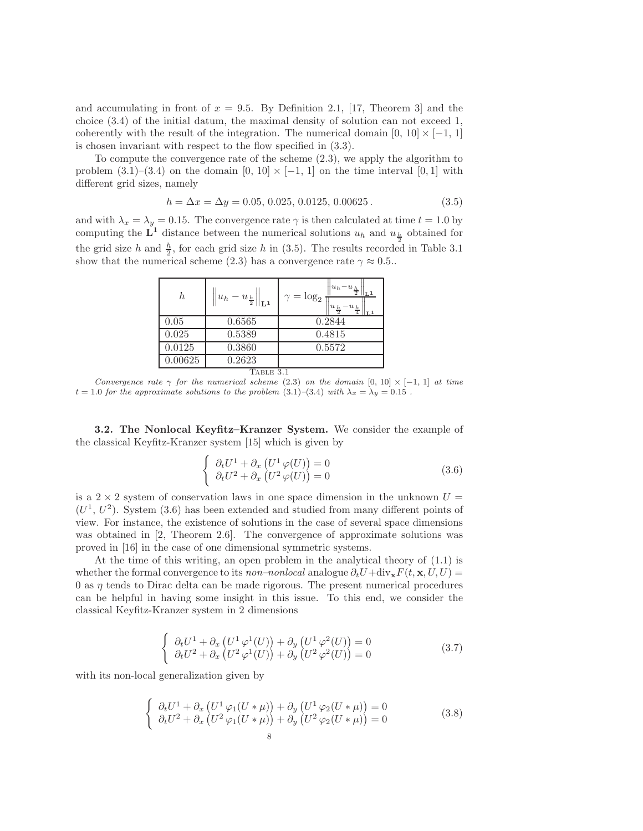and accumulating in front of  $x = 9.5$ . By Definition [2.1,](#page-3-0) [\[17,](#page-22-12) Theorem 3] and the choice [\(3.4\)](#page-7-0) of the initial datum, the maximal density of solution can not exceed 1, coherently with the result of the integration. The numerical domain  $[0, 10] \times [-1, 1]$ is chosen invariant with respect to the flow specified in [\(3.3\)](#page-7-2).

To compute the convergence rate of the scheme [\(2.3\)](#page-4-1), we apply the algorithm to problem  $(3.1)$ – $(3.4)$  on the domain  $[0, 10] \times [-1, 1]$  on the time interval  $[0, 1]$  with different grid sizes, namely

<span id="page-8-0"></span>
$$
h = \Delta x = \Delta y = 0.05, 0.025, 0.0125, 0.00625.
$$
\n
$$
(3.5)
$$

and with  $\lambda_x = \lambda_y = 0.15$ . The convergence rate  $\gamma$  is then calculated at time  $t = 1.0$  by computing the  $\mathbf{L}^1$  distance between the numerical solutions  $u_h$  and  $u_{\frac{h}{2}}$  obtained for the grid size h and  $\frac{h}{2}$ , for each grid size h in [\(3.5\)](#page-8-0). The results recorded in Table [3.1](#page-8-1) show that the numerical scheme [\(2.3\)](#page-4-1) has a convergence rate  $\gamma \approx 0.5$ .

| h         | $\ u_h-u_{\frac{h}{2}}\ $<br>$\mathbf{I}_{\mathbf{L}}$ | $u_h$<br>$-u_{\frac{h}{2}}$<br>$\gamma = \log_2$<br>$u_{\frac{h}{2}}$ |  |  |  |  |  |  |
|-----------|--------------------------------------------------------|-----------------------------------------------------------------------|--|--|--|--|--|--|
| 0.05      | 0.6565                                                 | 0.2844                                                                |  |  |  |  |  |  |
| 0.025     | 0.5389                                                 | 0.4815                                                                |  |  |  |  |  |  |
| 0.0125    | 0.3860                                                 | 0.5572                                                                |  |  |  |  |  |  |
| 0.00625   | 0.2623                                                 |                                                                       |  |  |  |  |  |  |
| 'able 3.1 |                                                        |                                                                       |  |  |  |  |  |  |

<span id="page-8-1"></span>Convergence rate  $\gamma$  for the numerical scheme [\(2.3\)](#page-4-1) on the domain [0, 10]  $\times$  [-1, 1] at time  $t = 1.0$  for the approximate solutions to the problem  $(3.1)$ – $(3.4)$  with  $\lambda_x = \lambda_y = 0.15$ .

3.2. The Nonlocal Keyfitz–Kranzer System. We consider the example of the classical Keyfitz-Kranzer system [\[15\]](#page-22-15) which is given by

<span id="page-8-2"></span>
$$
\begin{cases}\n\partial_t U^1 + \partial_x \left( U^1 \varphi(U) \right) = 0 \\
\partial_t U^2 + \partial_x \left( U^2 \varphi(U) \right) = 0\n\end{cases}
$$
\n(3.6)

is a  $2 \times 2$  system of conservation laws in one space dimension in the unknown  $U =$  $(U<sup>1</sup>, U<sup>2</sup>)$ . System [\(3.6\)](#page-8-2) has been extended and studied from many different points of view. For instance, the existence of solutions in the case of several space dimensions was obtained in [\[2,](#page-22-16) Theorem 2.6]. The convergence of approximate solutions was proved in [\[16\]](#page-22-17) in the case of one dimensional symmetric systems.

<span id="page-8-4"></span>At the time of this writing, an open problem in the analytical theory of [\(1.1\)](#page-1-0) is whether the formal convergence to its non–nonlocal analogue  $\partial_t U + \text{div}_x F(t, x, U, U) =$  $\theta$  as  $\eta$  tends to Dirac delta can be made rigorous. The present numerical procedures can be helpful in having some insight in this issue. To this end, we consider the classical Keyfitz-Kranzer system in 2 dimensions

$$
\begin{cases}\n\partial_t U^1 + \partial_x \left( U^1 \varphi^1(U) \right) + \partial_y \left( U^1 \varphi^2(U) \right) = 0 \\
\partial_t U^2 + \partial_x \left( U^2 \varphi^1(U) \right) + \partial_y \left( U^2 \varphi^2(U) \right) = 0\n\end{cases}
$$
\n(3.7)

<span id="page-8-3"></span>with its non-local generalization given by

$$
\begin{cases}\n\partial_t U^1 + \partial_x \left( U^1 \varphi_1 (U * \mu) \right) + \partial_y \left( U^1 \varphi_2 (U * \mu) \right) = 0 \\
\partial_t U^2 + \partial_x \left( U^2 \varphi_1 (U * \mu) \right) + \partial_y \left( U^2 \varphi_2 (U * \mu) \right) = 0\n\end{cases}
$$
\n(3.8)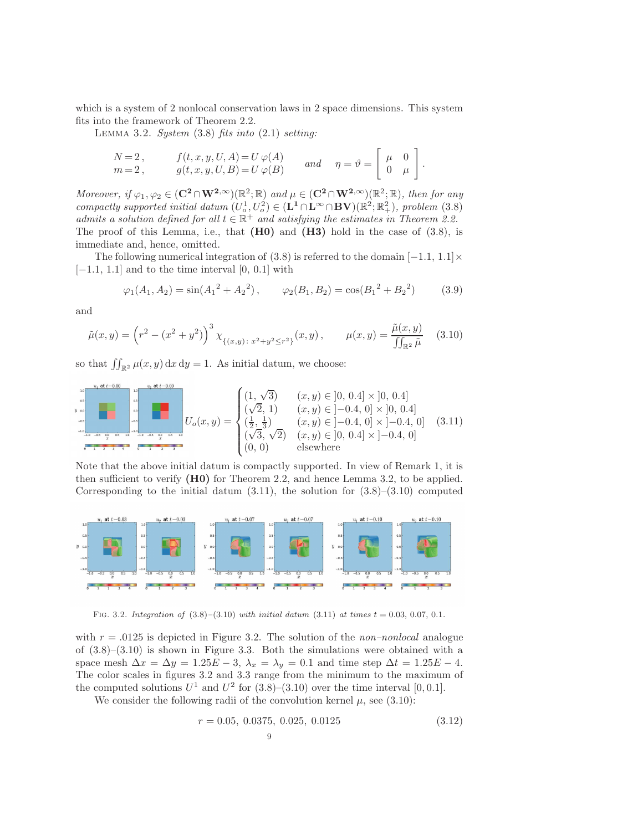which is a system of 2 nonlocal conservation laws in 2 space dimensions. This system fits into the framework of Theorem [2.2.](#page-4-2)

LEMMA 3.2. System  $(3.8)$  fits into  $(2.1)$  setting:

<span id="page-9-0"></span>
$$
\begin{aligned}\nN &= 2, & f(t, x, y, U, A) &= U \varphi(A) \\
m &= 2, & g(t, x, y, U, B) &= U \varphi(B) & \text{and} & \eta &= \vartheta = \left[ \begin{array}{cc} \mu & 0 \\ 0 & \mu \end{array} \right].\n\end{aligned}
$$

Moreover, if  $\varphi_1, \varphi_2 \in (\mathbf{C}^2 \cap \mathbf{W}^2, \infty) (\mathbb{R}^2; \mathbb{R})$  and  $\mu \in (\mathbf{C}^2 \cap \mathbf{W}^2, \infty) (\mathbb{R}^2; \mathbb{R})$ , then for any compactly supported initial datum  $(U_o^1, U_o^2) \in (\mathbf{L}^1 \cap \mathbf{L}^{\infty} \cap \mathbf{BV})(\mathbb{R}^2; \mathbb{R}^2_+),$  problem [\(3.8\)](#page-8-3) admits a solution defined for all  $t \in \mathbb{R}^+$  and satisfying the estimates in Theorem [2.2.](#page-4-2) The proof of this Lemma, i.e., that  $(H0)$  and  $(H3)$  hold in the case of  $(3.8)$ , is immediate and, hence, omitted.

The following numerical integration of [\(3.8\)](#page-8-3) is referred to the domain  $[-1.1, 1.1] \times$  $[-1.1, 1.1]$  and to the time interval  $[0, 0.1]$  with

<span id="page-9-1"></span>
$$
\varphi_1(A_1, A_2) = \sin(A_1^2 + A_2^2), \qquad \varphi_2(B_1, B_2) = \cos(B_1^2 + B_2^2)
$$
\n(3.9)

<span id="page-9-2"></span>and

$$
\tilde{\mu}(x,y) = \left(r^2 - (x^2 + y^2)\right)^3 \chi_{\{(x,y) \colon x^2 + y^2 \le r^2\}}(x,y), \qquad \mu(x,y) = \frac{\tilde{\mu}(x,y)}{\iint_{\mathbb{R}^2} \tilde{\mu}} \tag{3.10}
$$

so that  $\iint_{\mathbb{R}^2} \mu(x, y) dx dy = 1$ . As initial datum, we choose:

$$
U_o(x,y) = \begin{cases} (1,\sqrt{3}) & (x,y) \in ]0,0.4] \times ]0,0.4] \\ \begin{matrix} \frac{1}{2} & (x,y) \in ]-0.4,0] \times ]0,0.4] \\ (\sqrt{2},1) & (x,y) \in ]-0.4,0] \times ]0,0.4] \\ \frac{1}{2} & (x,y) \in ]-0.4,0] \times ]-0.4,0] \\ \frac{1}{2} & (x,y) \in ]-0.4,0] \times ]-0.4,0] \end{matrix} (3.11)
$$

Note that the above initial datum is compactly supported. In view of Remark [1,](#page-3-1) it is then sufficient to verify  $(H0)$  for Theorem [2.2,](#page-4-2) and hence Lemma [3.2,](#page-9-0) to be applied. Corresponding to the initial datum  $(3.11)$ , the solution for  $(3.8)$ – $(3.10)$  computed



<span id="page-9-3"></span>FIG. 3.2. Integration of  $(3.8)$ – $(3.10)$  with initial datum  $(3.11)$  at times  $t = 0.03, 0.07, 0.1$ .

with  $r = .0125$  is depicted in Figure [3.2.](#page-9-3) The solution of the *non–nonlocal* analogue of  $(3.8)$ – $(3.10)$  is shown in Figure [3.3.](#page-10-1) Both the simulations were obtained with a space mesh  $\Delta x = \Delta y = 1.25E - 3$ ,  $\lambda_x = \lambda_y = 0.1$  and time step  $\Delta t = 1.25E - 4$ . The color scales in figures [3.2](#page-9-3) and [3.3](#page-10-1) range from the minimum to the maximum of the computed solutions  $U^1$  and  $U^2$  for  $(3.8)$ – $(3.10)$  over the time interval  $[0, 0.1]$ .

We consider the following radii of the convolution kernel  $\mu$ , see [\(3.10\)](#page-9-2):

<span id="page-9-4"></span>
$$
r = 0.05, 0.0375, 0.025, 0.0125
$$
\n
$$
9 \tag{3.12}
$$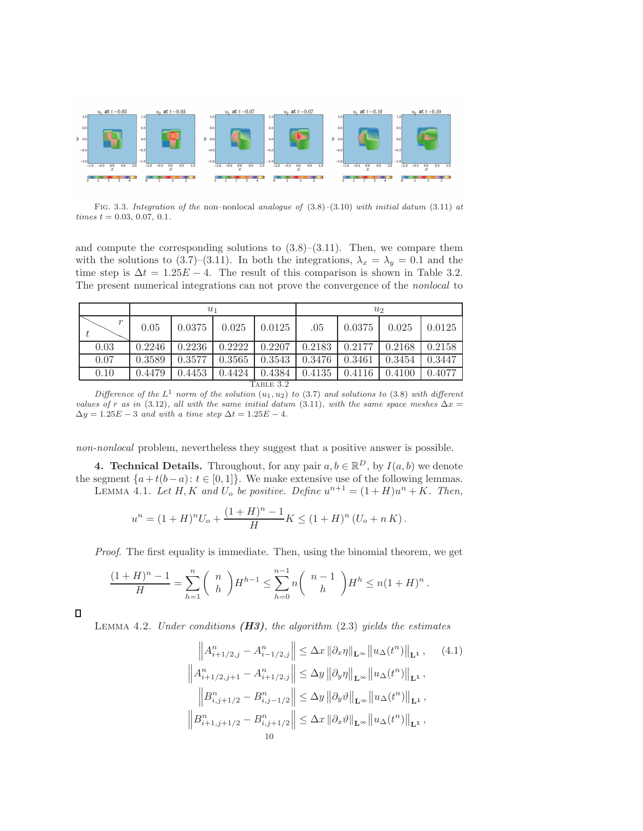

<span id="page-10-1"></span>FIG. 3.3. Integration of the non–nonlocal analogue of  $(3.8)$ – $(3.10)$  with initial datum  $(3.11)$  at  $times t = 0.03, 0.07, 0.1.$ 

and compute the corresponding solutions to  $(3.8)$ – $(3.11)$ . Then, we compare them with the solutions to [\(3.7\)](#page-8-4)–[\(3.11\)](#page-9-1). In both the integrations,  $\lambda_x = \lambda_y = 0.1$  and the time step is  $\Delta t = 1.25E - 4$ . The result of this comparison is shown in Table [3.2.](#page-10-2) The present numerical integrations can not prove the convergence of the nonlocal to

|                  | $u_1$  |        |        |        | u <sub>2</sub> |        |        |        |  |
|------------------|--------|--------|--------|--------|----------------|--------|--------|--------|--|
| $\boldsymbol{r}$ | 0.05   | 0.0375 | 0.025  | 0.0125 | .05            | 0.0375 | 0.025  | 0.0125 |  |
| 0.03             | 0.2246 | 0.2236 | 0.2222 | 0.2207 | 0.2183         | 0.2177 | 0.2168 | 0.2158 |  |
| 0.07             | 0.3589 | 0.3577 | 0.3565 | 0.3543 | 0.3476         | 0.3461 | 0.3454 | 0.3447 |  |
| 0.10             | 0.4479 | 0.4453 | 0.4424 | 0.4384 | 0.4135         | 0.4116 | 0.4100 | 0.4077 |  |
| TABLE 3.2        |        |        |        |        |                |        |        |        |  |

<span id="page-10-2"></span>Difference of the  $L^1$  norm of the solution  $(u_1, u_2)$  to [\(3.7\)](#page-8-4) and solutions to [\(3.8\)](#page-8-3) with different values of r as in [\(3.12\)](#page-9-4), all with the same initial datum [\(3.11\)](#page-9-1), with the same space meshes  $\Delta x =$  $\Delta y = 1.25E - 3$  and with a time step  $\Delta t = 1.25E - 4$ .

<span id="page-10-0"></span>non-nonlocal problem, nevertheless they suggest that a positive answer is possible.

<span id="page-10-4"></span>**4. Technical Details.** Throughout, for any pair  $a, b \in \mathbb{R}^D$ , by  $I(a, b)$  we denote the segment  $\{a+t(b-a): t \in [0,1]\}$ . We make extensive use of the following lemmas. LEMMA 4.1. Let H, K and  $U_o$  be positive. Define  $u^{n+1} = (1+H)u^n + K$ . Then,

$$
u^{n} = (1+H)^{n}U_{o} + \frac{(1+H)^{n}-1}{H}K \leq (1+H)^{n} (U_{o} + nK).
$$

Proof. The first equality is immediate. Then, using the binomial theorem, we get

$$
\frac{(1+H)^n - 1}{H} = \sum_{h=1}^n {n \choose h} H^{h-1} \le \sum_{h=0}^{n-1} n {n-1 \choose h} H^h \le n(1+H)^n.
$$

<span id="page-10-5"></span> $\Box$ 

LEMMA 4.2. Under conditions  $(H3)$ , the algorithm  $(2.3)$  yields the estimates

<span id="page-10-3"></span>
$$
\left\| A_{i+1/2,j}^{n} - A_{i-1/2,j}^{n} \right\| \leq \Delta x \left\| \partial_{x} \eta \right\|_{\mathbf{L}^{\infty}} \left\| u_{\Delta}(t^{n}) \right\|_{\mathbf{L}^{1}}, \quad (4.1)
$$
  

$$
\left\| A_{i+1/2,j+1}^{n} - A_{i+1/2,j}^{n} \right\| \leq \Delta y \left\| \partial_{y} \eta \right\|_{\mathbf{L}^{\infty}} \left\| u_{\Delta}(t^{n}) \right\|_{\mathbf{L}^{1}},
$$
  

$$
\left\| B_{i,j+1/2}^{n} - B_{i,j-1/2}^{n} \right\| \leq \Delta y \left\| \partial_{y} \vartheta \right\|_{\mathbf{L}^{\infty}} \left\| u_{\Delta}(t^{n}) \right\|_{\mathbf{L}^{1}},
$$
  

$$
\left\| B_{i+1,j+1/2}^{n} - B_{i,j+1/2}^{n} \right\| \leq \Delta x \left\| \partial_{x} \vartheta \right\|_{\mathbf{L}^{\infty}} \left\| u_{\Delta}(t^{n}) \right\|_{\mathbf{L}^{1}},
$$
  

$$
10
$$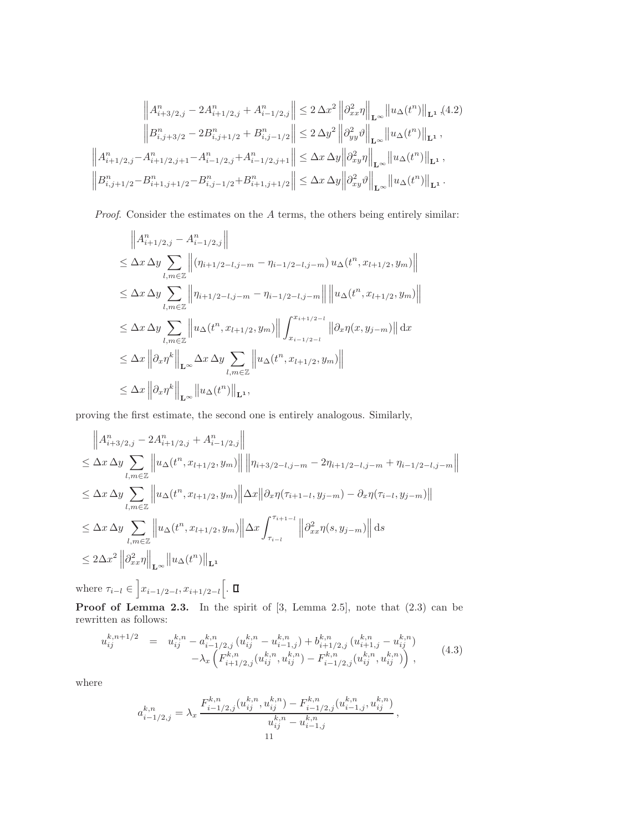$$
\left\| A_{i+3/2,j}^n - 2A_{i+1/2,j}^n + A_{i-1/2,j}^n \right\| \le 2 \Delta x^2 \left\| \partial_{xx}^2 \eta \right\|_{\mathbf{L}^\infty} \left\| u_\Delta(t^n) \right\|_{\mathbf{L}^1} (4.2)
$$
  

$$
\left\| B_{i,j+3/2}^n - 2B_{i,j+1/2}^n + B_{i,j-1/2}^n \right\| \le 2 \Delta y^2 \left\| \partial_{yy}^2 \vartheta \right\|_{\mathbf{L}^\infty} \left\| u_\Delta(t^n) \right\|_{\mathbf{L}^1},
$$
  

$$
\left\| A_{i+1/2,j}^n - A_{i+1/2,j+1}^n - A_{i-1/2,j}^n + A_{i-1/2,j+1}^n \right\| \le \Delta x \Delta y \left\| \partial_{xy}^2 \eta \right\|_{\mathbf{L}^\infty} \left\| u_\Delta(t^n) \right\|_{\mathbf{L}^1},
$$
  

$$
\left\| B_{i,j+1/2}^n - B_{i+1,j+1/2}^n - B_{i,j-1/2}^n + B_{i+1,j+1/2}^n \right\| \le \Delta x \Delta y \left\| \partial_{xy}^2 \vartheta \right\|_{\mathbf{L}^\infty} \left\| u_\Delta(t^n) \right\|_{\mathbf{L}^1}.
$$

Proof. Consider the estimates on the A terms, the others being entirely similar:

$$
\|A_{i+1/2,j}^{n} - A_{i-1/2,j}^{n}\|
$$
\n
$$
\leq \Delta x \Delta y \sum_{l,m \in \mathbb{Z}} \left\| (\eta_{i+1/2-l,j-m} - \eta_{i-1/2-l,j-m}) u_{\Delta}(t^{n}, x_{l+1/2}, y_{m}) \right\|
$$
\n
$$
\leq \Delta x \Delta y \sum_{l,m \in \mathbb{Z}} \left\| \eta_{i+1/2-l,j-m} - \eta_{i-1/2-l,j-m} \right\| \left\| u_{\Delta}(t^{n}, x_{l+1/2}, y_{m}) \right\|
$$
\n
$$
\leq \Delta x \Delta y \sum_{l,m \in \mathbb{Z}} \left\| u_{\Delta}(t^{n}, x_{l+1/2}, y_{m}) \right\| \int_{x_{i-1/2-l}}^{x_{i+1/2-l}} \left\| \partial_x \eta(x, y_{j-m}) \right\| dx
$$
\n
$$
\leq \Delta x \left\| \partial_x \eta^{k} \right\|_{\mathbf{L}^{\infty}} \Delta x \Delta y \sum_{l,m \in \mathbb{Z}} \left\| u_{\Delta}(t^{n}, x_{l+1/2}, y_{m}) \right\|
$$
\n
$$
\leq \Delta x \left\| \partial_x \eta^{k} \right\|_{\mathbf{L}^{\infty}} \left\| u_{\Delta}(t^{n}) \right\|_{\mathbf{L}^{1}},
$$

proving the first estimate, the second one is entirely analogous. Similarly,

$$
\|A_{i+3/2,j}^{n} - 2A_{i+1/2,j}^{n} + A_{i-1/2,j}^{n}\|
$$
  
\n
$$
\leq \Delta x \Delta y \sum_{l,m \in \mathbb{Z}} \|u_{\Delta}(t^{n}, x_{l+1/2}, y_{m})\| \|\eta_{i+3/2-l,j-m} - 2\eta_{i+1/2-l,j-m} + \eta_{i-1/2-l,j-m}\|
$$
  
\n
$$
\leq \Delta x \Delta y \sum_{l,m \in \mathbb{Z}} \|u_{\Delta}(t^{n}, x_{l+1/2}, y_{m})\| \Delta x \|\partial_x \eta(\tau_{i+1-l}, y_{j-m}) - \partial_x \eta(\tau_{i-l}, y_{j-m})\|
$$
  
\n
$$
\leq \Delta x \Delta y \sum_{l,m \in \mathbb{Z}} \|u_{\Delta}(t^{n}, x_{l+1/2}, y_{m})\| \Delta x \int_{\tau_{i-l}}^{\tau_{i+1-l}} \|\partial_{xx}^{2} \eta(s, y_{j-m})\| ds
$$
  
\n
$$
\leq 2\Delta x^{2} \|\partial_{xx}^{2} \eta\|_{\mathbf{L}^{\infty}} \|u_{\Delta}(t^{n})\|_{\mathbf{L}^{1}}
$$

where  $\tau_{i-l} \in \bigg[x_{i-1/2-l}, x_{i+1/2-l}\bigg]$ .

**Proof of Lemma [2.3.](#page-5-1)** In the spirit of  $[3,$  Lemma 2.5, note that  $(2.3)$  can be rewritten as follows:

<span id="page-11-0"></span>
$$
u_{ij}^{k,n+1/2} = u_{ij}^{k,n} - a_{i-1/2,j}^{k,n} (u_{ij}^{k,n} - u_{i-1,j}^{k,n}) + b_{i+1/2,j}^{k,n} (u_{i+1,j}^{k,n} - u_{ij}^{k,n})
$$
  

$$
- \lambda_x \left( F_{i+1/2,j}^{k,n} (u_{ij}^{k,n}, u_{ij}^{k,n}) - F_{i-1/2,j}^{k,n} (u_{ij}^{k,n}, u_{ij}^{k,n}) \right),
$$
 (4.3)

where

$$
a_{i-1/2,j}^{k,n}=\lambda_x\,\frac{F_{i-1/2,j}^{k,n}\big(u_{ij}^{k,n},u_{ij}^{k,n}\big)-F_{i-1/2,j}^{k,n}\big(u_{i-1,j}^{k,n},u_{ij}^{k,n}\big)}{u_{ij}^{k,n}-u_{i-1,j}^{k,n}}\,,
$$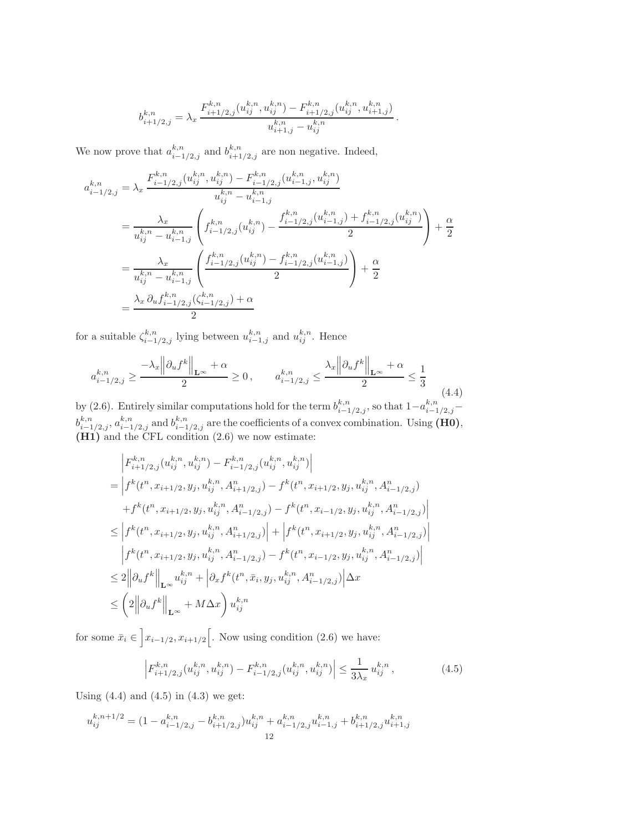$$
b_{i+1/2,j}^{k,n} = \lambda_x \frac{F_{i+1/2,j}^{k,n}(u_{ij}^{k,n}, u_{ij}^{k,n}) - F_{i+1/2,j}^{k,n}(u_{ij}^{k,n}, u_{i+1,j}^{k,n})}{u_{i+1,j}^{k,n} - u_{ij}^{k,n}}
$$

<span id="page-12-0"></span>.

We now prove that  $a_{i-1/2,j}^{k,n}$  and  $b_{i+1/2,j}^{k,n}$  are non negative. Indeed,

$$
a_{i-1/2,j}^{k,n} = \lambda_x \frac{F_{i-1/2,j}^{k,n}(u_{ij}^{k,n}, u_{ij}^{k,n}) - F_{i-1/2,j}^{k,n}(u_{i-1,j}^{k,n}, u_{ij}^{k,n})}{u_{ij}^{k,n} - u_{i-1,j}^{k,n}}
$$
  
\n
$$
= \frac{\lambda_x}{u_{ij}^{k,n} - u_{i-1,j}^{k,n}} \left( f_{i-1/2,j}^{k,n}(u_{ij}^{k,n}) - \frac{f_{i-1/2,j}^{k,n}(u_{i-1,j}^{k,n}) + f_{i-1/2,j}^{k,n}(u_{ij}^{k,n})}{2} \right) + \frac{\alpha}{2}
$$
  
\n
$$
= \frac{\lambda_x}{u_{ij}^{k,n} - u_{i-1,j}^{k,n}} \left( \frac{f_{i-1/2,j}^{k,n}(u_{ij}^{k,n}) - f_{i-1/2,j}^{k,n}(u_{i-1,j}^{k,n})}{2} \right) + \frac{\alpha}{2}
$$
  
\n
$$
= \frac{\lambda_x}{u_{ij}^{k,n} - u_{i-1,j}^{k,n}(f_{i-1/2,j}^{k,n}(f_{i-1/2,j}^{k,n}) + \alpha}{2}
$$

for a suitable  $\zeta_{i-1/2,j}^{k,n}$  lying between  $u_{i-1,j}^{k,n}$  and  $u_{ij}^{k,n}$ . Hence

$$
a_{i-1/2,j}^{k,n} \ge \frac{-\lambda_x \left\| \partial_u f^k \right\|_{\mathbf{L}^\infty} + \alpha}{2} \ge 0, \qquad a_{i-1/2,j}^{k,n} \le \frac{\lambda_x \left\| \partial_u f^k \right\|_{\mathbf{L}^\infty} + \alpha}{2} \le \frac{1}{3}
$$
\n
$$
(4.4)
$$

by [\(2.6\)](#page-4-0). Entirely similar computations hold for the term  $b^{k,n}_{i-1/2,j}$ , so that  $1-a^{k,n}_{i-1/2,j}$  $b_{i-1/2,j}^{k,n}, a_{i-1/2,j}^{k,n}$  and  $b_{i-1/2,j}^{k,n}$  are the coefficients of a convex combination. Using (H0), (H1) and the CFL condition [\(2.6\)](#page-4-0) we now estimate:

$$
\begin{split} &\left|F_{i+1/2,j}^{k,n}(u_{ij}^{k,n},u_{ij}^{k,n})-F_{i-1/2,j}^{k,n}(u_{ij}^{k,n},u_{ij}^{k,n})\right| \\ &=\left|f^{k}(t^{n},x_{i+1/2},y_{j},u_{ij}^{k,n},A_{i+1/2,j}^{n})-f^{k}(t^{n},x_{i+1/2},y_{j},u_{ij}^{k,n},A_{i-1/2,j}^{n})\right.\\ &\left.+f^{k}(t^{n},x_{i+1/2},y_{j},u_{ij}^{k,n},A_{i-1/2,j}^{n})-f^{k}(t^{n},x_{i-1/2},y_{j},u_{ij}^{k,n},A_{i-1/2,j}^{n})\right| \\ &\leq \left|f^{k}(t^{n},x_{i+1/2},y_{j},u_{ij}^{k,n},A_{i+1/2,j}^{n})\right|+\left|f^{k}(t^{n},x_{i+1/2},y_{j},u_{ij}^{k,n},A_{i-1/2,j}^{n})\right| \\ &\left|f^{k}(t^{n},x_{i+1/2},y_{j},u_{ij}^{k,n},A_{i-1/2,j}^{n})-f^{k}(t^{n},x_{i-1/2},y_{j},u_{ij}^{k,n},A_{i-1/2,j}^{n})\right| \\ &\leq 2\left\|\partial_{u}f^{k}\right\|_{\mathbf{L}^{\infty}}u_{ij}^{k,n}+\left|\partial_{x}f^{k}(t^{n},\bar{x}_{i},y_{j},u_{ij}^{k,n},A_{i-1/2,j}^{n})\right|\Delta x \\ &\leq \left(2\left\|\partial_{u}f^{k}\right\|_{\mathbf{L}^{\infty}}+M\Delta x\right)u_{ij}^{k,n} \end{split}
$$

for some  $\bar{x}_i \in \left] x_{i-1/2}, x_{i+1/2} \right[$ . Now using condition [\(2.6\)](#page-4-0) we have:

<span id="page-12-1"></span>
$$
\left| F_{i+1/2,j}^{k,n}(u_{ij}^{k,n}, u_{ij}^{k,n}) - F_{i-1/2,j}^{k,n}(u_{ij}^{k,n}, u_{ij}^{k,n}) \right| \le \frac{1}{3\lambda_x} u_{ij}^{k,n}, \tag{4.5}
$$

Using  $(4.4)$  and  $(4.5)$  in  $(4.3)$  we get:

$$
u_{ij}^{k,n+1/2} = (1 - a_{i-1/2,j}^{k,n} - b_{i+1/2,j}^{k,n})u_{ij}^{k,n} + a_{i-1/2,j}^{k,n}u_{i-1,j}^{k,n} + b_{i+1/2,j}^{k,n}u_{i+1,j}^{k,n}
$$
  
12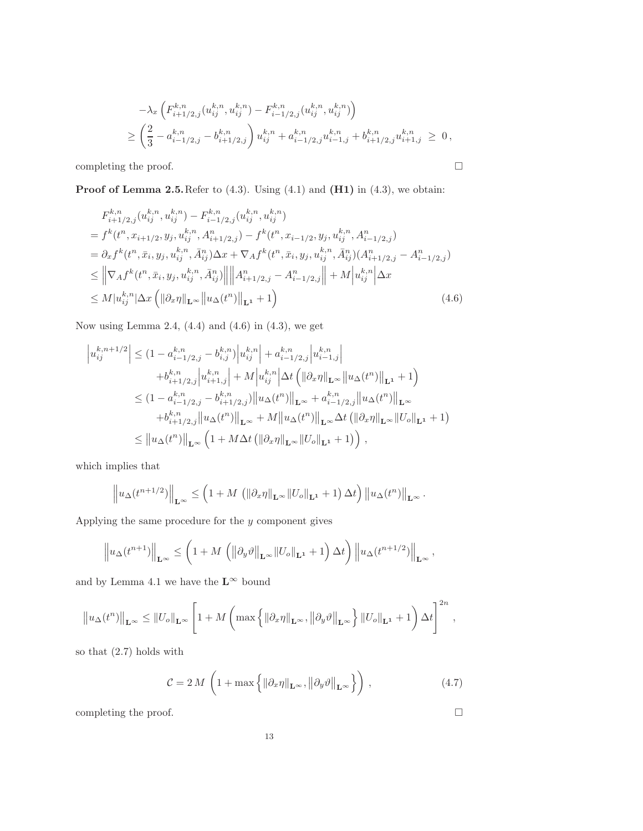$$
-\lambda_x \left( F^{k,n}_{i+1/2,j}(u^{k,n}_{ij}, u^{k,n}_{ij}) - F^{k,n}_{i-1/2,j}(u^{k,n}_{ij}, u^{k,n}_{ij}) \right)
$$
  
\n
$$
\geq \left( \frac{2}{3} - a^{k,n}_{i-1/2,j} - b^{k,n}_{i+1/2,j} \right) u^{k,n}_{ij} + a^{k,n}_{i-1/2,j} u^{k,n}_{i-1,j} + b^{k,n}_{i+1/2,j} u^{k,n}_{i+1,j} \geq 0,
$$

completing the proof.  $\hfill \square$ 

**Proof of Lemma [2.5.](#page-5-2)** Refer to  $(4.3)$ . Using  $(4.1)$  and  $(H1)$  in  $(4.3)$ , we obtain:

<span id="page-13-1"></span>
$$
F_{i+1/2,j}^{k,n}(u_{ij}^{k,n}, u_{ij}^{k,n}) - F_{i-1/2,j}^{k,n}(u_{ij}^{k,n}, u_{ij}^{k,n})
$$
  
=  $f^k(t^n, x_{i+1/2}, y_j, u_{ij}^{k,n}, A_{i+1/2,j}^n) - f^k(t^n, x_{i-1/2}, y_j, u_{ij}^{k,n}, A_{i-1/2,j}^n)$   
=  $\partial_x f^k(t^n, \bar{x}_i, y_j, u_{ij}^{k,n}, \bar{A}_{ij}^n) \Delta x + \nabla_A f^k(t^n, \bar{x}_i, y_j, u_{ij}^{k,n}, \bar{A}_{ij}^n) (A_{i+1/2,j}^n - A_{i-1/2,j}^n)$   

$$
\leq ||\nabla_A f^k(t^n, \bar{x}_i, y_j, u_{ij}^{k,n}, \bar{A}_{ij}^n)|| ||A_{i+1/2,j}^n - A_{i-1/2,j}^n|| + M ||u_{ij}^{k,n}|| \Delta x
$$
  

$$
\leq M |u_{ij}^{k,n}| \Delta x \left( ||\partial_x \eta||_{\mathbf{L}^{\infty}} ||u_{\Delta}(t^n)||_{\mathbf{L}^1} + 1 \right)
$$
 (4.6)

Now using Lemma [2.4,](#page-5-0)  $(4.4)$  and  $(4.6)$  in  $(4.3)$ , we get

$$
\left| u_{ij}^{k,n+1/2} \right| \leq (1 - a_{i-1/2,j}^{k,n} - b_{i,j}^{k,n}) \left| u_{ij}^{k,n} \right| + a_{i-1/2,j}^{k,n} \left| u_{i-1,j}^{k,n} \right| \n+ b_{i+1/2,j}^{k,n} \left| u_{i+1,j}^{k,n} \right| + M \left| u_{ij}^{k,n} \right| \Delta t \left( \| \partial_x \eta \|_{\mathbf{L}^{\infty}} \| u_{\Delta}(t^n) \|_{\mathbf{L}^1} + 1 \right) \n\leq (1 - a_{i-1/2,j}^{k,n} - b_{i+1/2,j}^{k,n}) \| u_{\Delta}(t^n) \|_{\mathbf{L}^{\infty}} + a_{i-1/2,j}^{k,n} \| u_{\Delta}(t^n) \|_{\mathbf{L}^{\infty}} \n+ b_{i+1/2,j}^{k,n} \| u_{\Delta}(t^n) \|_{\mathbf{L}^{\infty}} + M \| u_{\Delta}(t^n) \|_{\mathbf{L}^{\infty}} \Delta t \left( \| \partial_x \eta \|_{\mathbf{L}^{\infty}} \| U_o \|_{\mathbf{L}^1} + 1 \right) \n\leq \| u_{\Delta}(t^n) \|_{\mathbf{L}^{\infty}} \left( 1 + M \Delta t \left( \| \partial_x \eta \|_{\mathbf{L}^{\infty}} \| U_o \|_{\mathbf{L}^1} + 1 \right) \right),
$$

which implies that

$$
\left\|u_{\Delta}(t^{n+1/2})\right\|_{\mathbf{L}^{\infty}} \leq \left(1+M\left(\left\|\partial_{x}\eta\right\|_{\mathbf{L}^{\infty}}\left\|U_{o}\right\|_{\mathbf{L}^{1}}+1\right)\Delta t\right)\left\|u_{\Delta}(t^{n})\right\|_{\mathbf{L}^{\infty}}.
$$

Applying the same procedure for the  $y$  component gives

$$
\left\|u_{\Delta}(t^{n+1})\right\|_{\mathbf{L}^{\infty}} \leq \left(1+M\left(\left\|\partial_{y}\vartheta\right\|_{\mathbf{L}^{\infty}}\|U_{o}\|_{\mathbf{L}^{1}}+1\right)\Delta t\right)\left\|u_{\Delta}(t^{n+1/2})\right\|_{\mathbf{L}^{\infty}},
$$

and by Lemma [4.1](#page-10-4) we have the  $\mathbf{L}^\infty$  bound

$$
\left\|u_{\Delta}(t^n)\right\|_{\mathbf{L}^{\infty}} \leq \left\|U_o\right\|_{\mathbf{L}^{\infty}} \left[1 + M\left(\max\left\{\left\|\partial_x \eta\right\|_{\mathbf{L}^{\infty}}, \left\|\partial_y \vartheta\right\|_{\mathbf{L}^{\infty}}\right\} \left\|U_o\right\|_{\mathbf{L}^1} + 1\right) \Delta t\right]^{2n},
$$

so that [\(2.7\)](#page-5-3) holds with

<span id="page-13-0"></span>
$$
\mathcal{C} = 2 M \left( 1 + \max \left\{ \left\| \partial_x \eta \right\|_{\mathbf{L}^\infty}, \left\| \partial_y \vartheta \right\|_{\mathbf{L}^\infty} \right\} \right),\tag{4.7}
$$

completing the proof.  $\hfill \square$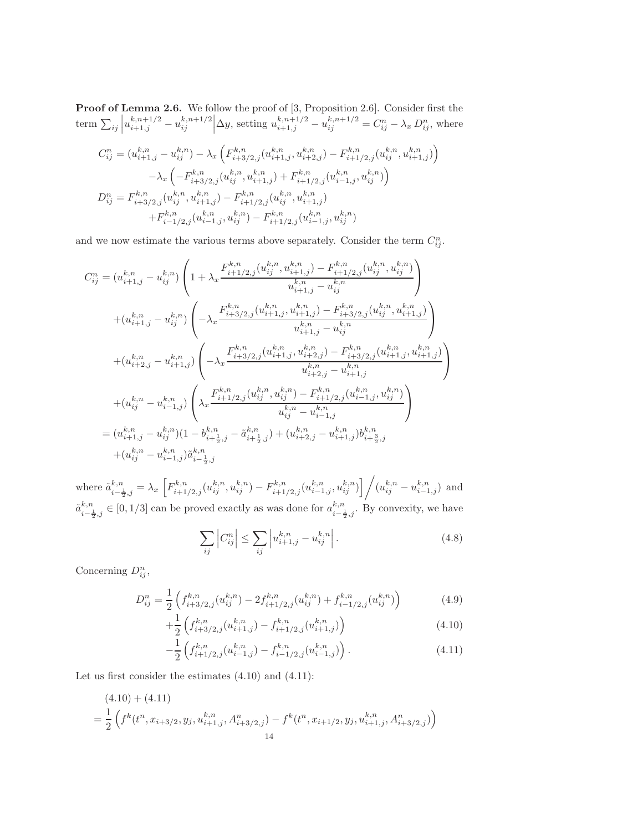**Proof of Lemma [2.6.](#page-5-4)** We follow the proof of [\[3,](#page-22-9) Proposition 2.6]. Consider first the term  $\sum_{ij} \left| u_{i+1,j}^{k,n+1/2} - u_{ij}^{k,n+1/2} \right|$  $\left. \sum_{i,j}^{k,n+1/2} \right| \Delta y$ , setting  $u_{i+1,j}^{k,n+1/2} - u_{ij}^{k,n+1/2} = C_{ij}^n - \lambda_x D_{ij}^n$ , where

$$
\begin{split} C_{ij}^{n} &= (u_{i+1,j}^{k,n} - u_{ij}^{k,n}) - \lambda_{x} \left( F_{i+3/2,j}^{k,n} (u_{i+1,j}^{k,n}, u_{i+2,j}^{k,n}) - F_{i+1/2,j}^{k,n} (u_{ij}^{k,n}, u_{i+1,j}^{k,n}) \right) \\ &\quad - \lambda_{x} \left( -F_{i+3/2,j}^{k,n} (u_{ij}^{k,n}, u_{i+1,j}^{k,n}) + F_{i+1/2,j}^{k,n} (u_{i-1,j}^{k,n}, u_{ij}^{k,n}) \right) \\ D_{ij}^{n} &= F_{i+3/2,j}^{k,n} (u_{ij}^{k,n}, u_{i+1,j}^{k,n}) - F_{i+1/2,j}^{k,n} (u_{ij}^{k,n}, u_{i+1,j}^{k,n}) \\ &\quad + F_{i-1/2,j}^{k,n} (u_{i-1,j}^{k,n}, u_{ij}^{k,n}) - F_{i+1/2,j}^{k,n} (u_{i-1,j}^{k,n}, u_{ij}^{k,n}) \end{split}
$$

and we now estimate the various terms above separately. Consider the term  $C_{ij}^n$ .

$$
C_{ij}^{n} = (u_{i+1,j}^{k,n} - u_{ij}^{k,n}) \left( 1 + \lambda_{x} \frac{F_{i+1/2,j}^{k,n}(u_{ij}^{k,n}, u_{i+1,j}^{k,n}) - F_{i+1/2,j}^{k,n}(u_{ij}^{k,n}, u_{ij}^{k,n})}{u_{i+1,j}^{k,n} - u_{ij}^{k,n}} \right)
$$
  
+ 
$$
(u_{i+1,j}^{k,n} - u_{ij}^{k,n}) \left( -\lambda_{x} \frac{F_{i+3/2,j}^{k,n}(u_{i+1,j}^{k,n}, u_{i+1,j}^{k,n}) - F_{i+3/2,j}^{k,n}(u_{ij}^{k,n}, u_{i+1,j}^{k,n})}{u_{i+1,j}^{k,n} - u_{ij}^{k,n}} \right)
$$
  
+ 
$$
(u_{i+2,j}^{k,n} - u_{i+1,j}^{k,n}) \left( -\lambda_{x} \frac{F_{i+3/2,j}^{k,n}(u_{i+1,j}^{k,n}, u_{i+2,j}^{k,n}) - F_{i+3/2,j}^{k,n}(u_{i+1,j}^{k,n}, u_{i+1,j}^{k,n})}{u_{i+2,j}^{k,n} - u_{i+1,j}^{k,n}} \right)
$$
  
+ 
$$
(u_{ij}^{k,n} - u_{i-1,j}^{k,n}) \left( \lambda_{x} \frac{F_{i+1/2,j}^{k,n}(u_{ij}^{k,n}, u_{ij}^{k,n}) - F_{i+1/2,j}^{k,n}(u_{i-1,j}^{k,n}, u_{ij}^{k,n})}{u_{ij}^{k,n} - u_{i-1,j}^{k,n}} \right)
$$
  
= 
$$
(u_{i+1,j}^{k,n} - u_{ij}^{k,n}) (1 - b_{i+\frac{1}{2},j}^{k,n} - \tilde{a}_{i+\frac{1}{2},j}^{k,n}) + (u_{i+2,j}^{k,n} - u_{i+1,j}^{k,n}) b_{i+\frac{3}{2},j}^{k,n}
$$
  
+ 
$$
(u_{ij}^{k,n} - u_{i-1,j}^{k,n}) \tilde{a}_{i-\frac{1}{2},j}^{k,n}
$$

where  $\tilde{a}_{i-\frac{1}{2},j}^{k,n} = \lambda_x \left[ F_{i+1/2,j}^{k,n}(u_{ij}^{k,n}, u_{ij}^{k,n}) - F_{i+1/2,j}^{k,n}(u_{i-1,j}^{k,n}, u_{ij}^{k,n}) \right] / (u_{ij}^{k,n} - u_{i-1,j}^{k,n})$  and  $\tilde{a}^{k,n}_{i-\frac{1}{2},j} \in [0,1/3]$  can be proved exactly as was done for  $a^{k,n}_{i-\frac{1}{2},j}$ . By convexity, we have

<span id="page-14-1"></span>
$$
\sum_{ij} \left| C_{ij}^n \right| \le \sum_{ij} \left| u_{i+1,j}^{k,n} - u_{ij}^{k,n} \right|.
$$
\n(4.8)

Concerning  $D_{ij}^n$ ,

<span id="page-14-0"></span>
$$
D_{ij}^{n} = \frac{1}{2} \left( f_{i+3/2,j}^{k,n}(u_{ij}^{k,n}) - 2f_{i+1/2,j}^{k,n}(u_{ij}^{k,n}) + f_{i-1/2,j}^{k,n}(u_{ij}^{k,n}) \right)
$$
(4.9)

$$
+\frac{1}{2}\left(f_{i+3/2,j}^{k,n}(u_{i+1,j}^{k,n})-f_{i+1/2,j}^{k,n}(u_{i+1,j}^{k,n})\right) \tag{4.10}
$$

$$
-\frac{1}{2}\left(f_{i+1/2,j}^{k,n}(u_{i-1,j}^{k,n})-f_{i-1/2,j}^{k,n}(u_{i-1,j}^{k,n})\right).
$$
\n(4.11)

Let us first consider the estimates [\(4.10\)](#page-14-0) and [\(4.11\)](#page-14-0):

$$
(4.10) + (4.11)
$$
  
=  $\frac{1}{2}$   $\left( f^k(t^n, x_{i+3/2}, y_j, u_{i+1,j}^{k,n}, A_{i+3/2,j}^n) - f^k(t^n, x_{i+1/2}, y_j, u_{i+1,j}^{k,n}, A_{i+3/2,j}^n) \right)$   
14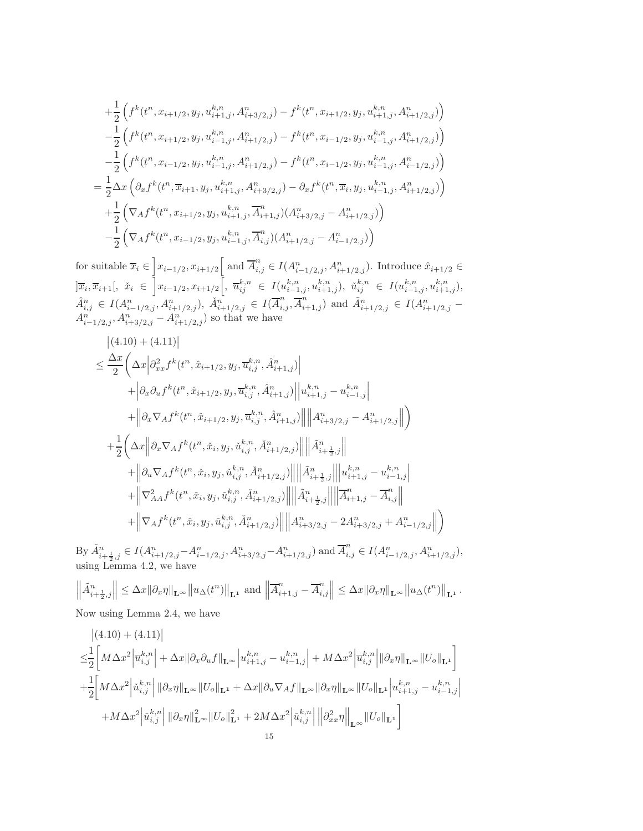$$
+\frac{1}{2}\left(f^{k}(t^{n},x_{i+1/2},y_{j},u^{k,n}_{i+1,j},A^{n}_{i+3/2,j})-f^{k}(t^{n},x_{i+1/2},y_{j},u^{k,n}_{i+1,j},A^{n}_{i+1/2,j})\right) -\frac{1}{2}\left(f^{k}(t^{n},x_{i+1/2},y_{j},u^{k,n}_{i-1,j},A^{n}_{i+1/2,j})-f^{k}(t^{n},x_{i-1/2},y_{j},u^{k,n}_{i-1,j},A^{n}_{i+1/2,j})\right) -\frac{1}{2}\left(f^{k}(t^{n},x_{i-1/2},y_{j},u^{k,n}_{i-1,j},A^{n}_{i+1/2,j})-f^{k}(t^{n},x_{i-1/2},y_{j},u^{k,n}_{i-1,j},A^{n}_{i-1/2,j})\right) =\frac{1}{2}\Delta x\left(\partial_{x}f^{k}(t^{n},\overline{x}_{i+1},y_{j},u^{k,n}_{i+1,j},A^{n}_{i+3/2,j})-\partial_{x}f^{k}(t^{n},\overline{x}_{i},y_{j},u^{k,n}_{i-1,j},A^{n}_{i+1/2,j})\right) +\frac{1}{2}\left(\nabla_{A}f^{k}(t^{n},x_{i+1/2},y_{j},u^{k,n}_{i+1,j},\overline{A}^{n}_{i+1,j})(A^{n}_{i+3/2,j}-A^{n}_{i+1/2,j})\right) -\frac{1}{2}\left(\nabla_{A}f^{k}(t^{n},x_{i-1/2},y_{j},u^{k,n}_{i-1,j},\overline{A}^{n}_{i,j})(A^{n}_{i+1/2,j}-A^{n}_{i-1/2,j})\right)
$$

for suitable  $\overline{x}_i \in \left] x_{i-1/2}, x_{i+1/2} \right[$  and  $\overline{A}_{i,j}^n \in I(A_{i-1/2,j}^n, A_{i+1/2,j}^n)$ . Introduce  $\hat{x}_{i+1/2} \in$  $\left|\overline{x}_i, \overline{x}_{i+1}\right|, \; \; \check{x}_i \; \in \; \left|x_{i-1/2}, x_{i+1/2}\right|, \; \overline{u}_{ij}^{k,n} \; \in \; I(u_{i-1,j}^{k,n}, u_{i+1,j}^{k,n}), \; \; \check{u}_{ij}^{k,n} \; \in \; I(u_{i-1,j}^{k,n}, u_{i+1,j}^{k,n}),$  $\hat{A}_{i,j}^n \in I(A_{i-1/2,j}^n, A_{i+1/2,j}^n), \ \check{A}_{i+1/2,j}^n \in I(\overline{A}_{i,j}^n, \overline{A}_{i+1,j}^n)$  and  $\tilde{A}_{i+1/2,j}^n \in I(A_{i+1/2,j}^n A_{i-1/2,j}^n, A_{i+3/2,j}^n - A_{i+1/2,j}^n$  so that we have

$$
\begin{split} &\left| (4.10) + (4.11) \right| \\ &\leq \frac{\Delta x}{2} \bigg( \Delta x \Big| \partial^2_{xx} f^k(t^n, \hat{x}_{i+1/2}, y_j, \overline{u}^{k,n}_{i,j}, \hat{A}^n_{i+1,j}) \Big| \\ &\quad + \Big| \partial_x \partial_u f^k(t^n, \hat{x}_{i+1/2}, y_j, \overline{u}^{k,n}_{i,j}, \hat{A}^n_{i+1,j}) \Big| \Big| u^{k,n}_{i+1,j} - u^{k,n}_{i-1,j} \Big| \\ &\quad + \Big\| \partial_x \nabla_A f^k(t^n, \hat{x}_{i+1/2}, y_j, \overline{u}^{k,n}_{i,j}, \hat{A}^n_{i+1,j}) \Big\| \Big\| A^n_{i+3/2,j} - A^n_{i+1/2,j} \Big\| \Big) \\ &\quad + \frac{1}{2} \bigg( \Delta x \Big\| \partial_x \nabla_A f^k(t^n, \check{x}_i, y_j, \check{u}^{k,n}_{i,j}, \check{A}^n_{i+1/2,j}) \Big\| \Big\| \tilde{A}^n_{i+\frac{1}{2},j} \Big\| \\ &\quad + \Big\| \partial_u \nabla_A f^k(t^n, \check{x}_i, y_j, \check{u}^{k,n}_{i,j}, \check{A}^n_{i+1/2,j}) \Big\| \Big\| \tilde{A}^n_{i+\frac{1}{2},j} \Big\| \Big\| u^{k,n}_{i+1,j} - u^{k,n}_{i-1,j} \Big| \\ &\quad + \Big\| \nabla^2_A f^k(t^n, \check{x}_i, y_j, \check{u}^{k,n}_{i,j}, \check{A}^n_{i+1/2,j}) \Big\| \Big\| \tilde{A}^n_{i+\frac{1}{2},j} \Big\| \Big\| \overline{A}^n_{i+1,j} - \overline{A}^n_{i,j} \Big\| \\ &\quad + \Big\| \nabla_A f^k(t^n, \check{x}_i, y_j, \check{u}^{k,n}_{i,j}, \check{A}^n_{i+1/2,j}) \Big\| \Big\| A^n_{i+3/2,j} - 2 A^n_{i+3/2,j} + A^n_{i-1/2,j} \Big\| \Big) \end{split}
$$

By  $\tilde{A}_{i+\frac{1}{2},j}^n \in I(A_{i+1/2,j}^n - A_{i-1/2,j}^n, A_{i+3/2,j}^n - A_{i+1/2,j}^n)$  and  $\overline{A}_{i,j}^n \in I(A_{i-1/2,j}^n, A_{i+1/2,j}^n)$ , using Lemma [4.2,](#page-10-5) we have

$$
\left\| \tilde{A}_{i+\frac{1}{2},j}^n \right\| \leq \Delta x \|\partial_x \eta\|_{\mathbf{L}^\infty} \|u_\Delta(t^n)\|_{\mathbf{L}^1} \text{ and } \left\| \overline{A}_{i+1,j}^n - \overline{A}_{i,j}^n \right\| \leq \Delta x \|\partial_x \eta\|_{\mathbf{L}^\infty} \|u_\Delta(t^n)\|_{\mathbf{L}^1}.
$$

Now using Lemma [2.4,](#page-5-0) we have

$$
\begin{split} &\left| (4.10) + (4.11) \right| \\ \leq & \frac{1}{2} \bigg[ M \Delta x^2 \Big| \overline{u}_{i,j}^{k,n} \Big| + \Delta x \|\partial_x \partial_u f\|_{\mathbf{L}^{\infty}} \Big| u_{i+1,j}^{k,n} - u_{i-1,j}^{k,n} \Big| + M \Delta x^2 \Big| \overline{u}_{i,j}^{k,n} \Big| \|\partial_x \eta\|_{\mathbf{L}^{\infty}} \|U_o\|_{\mathbf{L}^1} \bigg] \\ + & \frac{1}{2} \bigg[ M \Delta x^2 \Big| \check{u}_{i,j}^{k,n} \Big| \|\partial_x \eta\|_{\mathbf{L}^{\infty}} \|U_o\|_{\mathbf{L}^1} + \Delta x \|\partial_u \nabla_A f\|_{\mathbf{L}^{\infty}} \|\partial_x \eta\|_{\mathbf{L}^{\infty}} \|U_o\|_{\mathbf{L}^1} \Big| u_{i+1,j}^{k,n} - u_{i-1,j}^{k,n} \\ + M \Delta x^2 \Big| \check{u}_{i,j}^{k,n} \Big| \|\partial_x \eta\|_{\mathbf{L}^{\infty}}^2 \|U_o\|_{\mathbf{L}^1}^2 + 2M \Delta x^2 \Big| \check{u}_{i,j}^{k,n} \Big| \Big\| \partial_{xx}^2 \eta \Big\|_{\mathbf{L}^{\infty}} \|U_o\|_{\mathbf{L}^1} \bigg] \\ &\qquad \qquad \qquad 15 \end{split}
$$

 $\overline{\phantom{a}}$  $\overline{\phantom{a}}$  $\mid$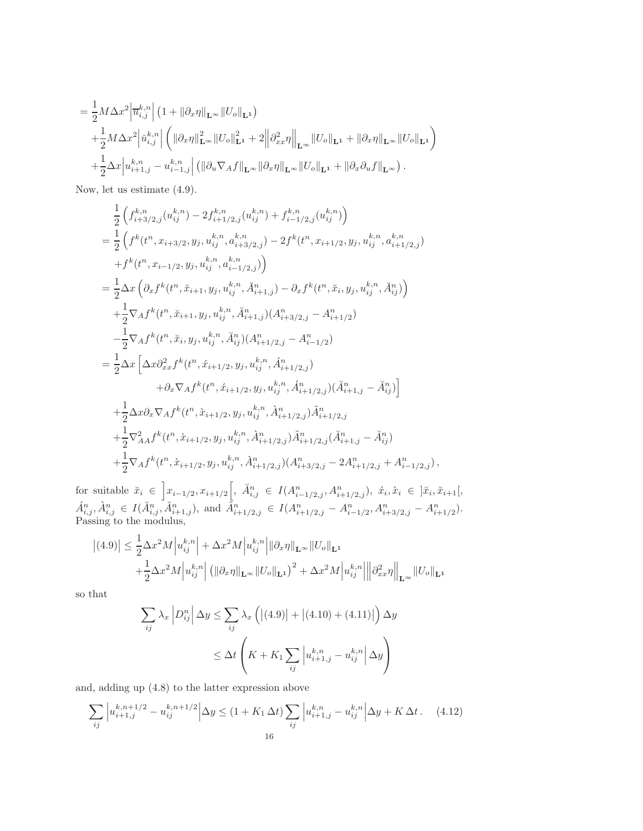$$
= \frac{1}{2} M \Delta x^{2} \left| \overline{u}_{i,j}^{k,n} \right| \left( 1 + ||\partial_{x}\eta||_{\mathbf{L}^{\infty}} ||U_{o}||_{\mathbf{L}^{1}} \right) + \frac{1}{2} M \Delta x^{2} \left| \check{u}_{i,j}^{k,n} \right| \left( ||\partial_{x}\eta||^{2}_{\mathbf{L}^{\infty}} ||U_{o}||^{2}_{\mathbf{L}^{1}} + 2 \left\| \partial_{xx}^{2}\eta \right\|_{\mathbf{L}^{\infty}} ||U_{o}||_{\mathbf{L}^{1}} + ||\partial_{x}\eta||_{\mathbf{L}^{\infty}} ||U_{o}||_{\mathbf{L}^{1}} \right) + \frac{1}{2} \Delta x \left| u_{i+1,j}^{k,n} - u_{i-1,j}^{k,n} \right| \left( ||\partial_{u}\nabla_{A}f||_{\mathbf{L}^{\infty}} ||\partial_{x}\eta||_{\mathbf{L}^{\infty}} ||U_{o}||_{\mathbf{L}^{1}} + ||\partial_{x}\partial_{u}f||_{\mathbf{L}^{\infty}} \right).
$$

Now, let us estimate [\(4.9\)](#page-14-0).

$$
\frac{1}{2}\left(f_{i+3/2,j}^{k,n}(u_{ij}^{k,n})-2f_{i+1/2,j}^{k,n}(u_{ij}^{k,n})+f_{i-1/2,j}^{k,n}(u_{ij}^{k,n})\right)
$$
\n
$$
=\frac{1}{2}\left(f^{k}(t^{n},x_{i+3/2},y_{j},u_{ij}^{k,n},a_{i+3/2,j}^{k,n})-2f^{k}(t^{n},x_{i+1/2},y_{j},u_{ij}^{k,n},a_{i+1/2,j}^{k,n})\right)
$$
\n
$$
+f^{k}(t^{n},x_{i-1/2},y_{j},u_{ij}^{k,n},a_{i-1/2,j}^{k,n})\right)
$$
\n
$$
=\frac{1}{2}\Delta x\left(\partial_{x}f^{k}(t^{n},\check{x}_{i+1},y_{j},u_{ij}^{k,n},\check{A}_{i+1,j}^{n})-\partial_{x}f^{k}(t^{n},\check{x}_{i},y_{j},u_{ij}^{k,n},\check{A}_{ij}^{n})\right)
$$
\n
$$
+\frac{1}{2}\nabla_{A}f^{k}(t^{n},\check{x}_{i+1},y_{j},u_{ij}^{k,n},\check{A}_{i+1,j}^{n})(A_{i+3/2,j}^{n}-A_{i+1/2}^{n})
$$
\n
$$
-\frac{1}{2}\nabla_{A}f^{k}(t^{n},\check{x}_{i},y_{j},u_{ij}^{k,n},\check{A}_{ij}^{n})(A_{i+1/2,j}^{n}-A_{i-1/2}^{n})
$$
\n
$$
=\frac{1}{2}\Delta x\left[\Delta x\partial_{xx}^{2}f^{k}(t^{n},\acute{x}_{i+1/2},y_{j},u_{ij}^{k,n},\acute{A}_{i+1/2,j}^{n})\right]
$$
\n
$$
+\partial_{x}\nabla_{A}f^{k}(t^{n},\acute{x}_{i+1/2},y_{j},u_{ij}^{k,n},\acute{A}_{i+1/2,j}^{n})(\check{A}_{i+1,j}^{n}-\check{A}_{ij}^{n})\right]
$$
\n
$$
+\frac{1}{2}\Delta x\partial_{x}\nabla_{A}f^{k}(t^{n},\grave{x}_{i+1/2},y_{j},u_{ij}^{k,n},\grave{A}_{i+1/2,j}^{n})\hat
$$

for suitable  $\check{x}_i \in \left] x_{i-1/2}, x_{i+1/2} \right[, \ \check{A}_{i,j}^n \in I(A_{i-1/2,j}^n, A_{i+1/2,j}^n), \ \hat{x}_i, \hat{x}_i \in \left] \check{x}_i, \check{x}_{i+1} \right[,$  $\hat{A}_{i,j}^n, \hat{A}_{i,j}^n \in I(\check{A}_{i,j}^n, \check{A}_{i+1,j}^n), \text{ and } \tilde{A}_{i+1/2,j}^n \in I(A_{i+1/2,j}^n - A_{i-1/2}^n, A_{i+3/2,j}^n - A_{i+1/2}^n).$ Passing to the modulus,

$$
\left| (4.9) \right| \leq \frac{1}{2} \Delta x^2 M \left| u_{ij}^{k,n} \right| + \Delta x^2 M \left| u_{ij}^{k,n} \right| ||\partial_x \eta||_{\mathbf{L}^{\infty}} ||U_o||_{\mathbf{L}^1} + \frac{1}{2} \Delta x^2 M \left| u_{ij}^{k,n} \right| \left( ||\partial_x \eta||_{\mathbf{L}^{\infty}} ||U_o||_{\mathbf{L}^1} \right)^2 + \Delta x^2 M \left| u_{ij}^{k,n} \right| \left\| \partial_{xx}^2 \eta \right\|_{\mathbf{L}^{\infty}} ||U_o||_{\mathbf{L}^1}
$$

so that

$$
\sum_{ij} \lambda_x \left| D_{ij}^n \right| \Delta y \le \sum_{ij} \lambda_x \left( \left| (4.9) \right| + \left| (4.10) + (4.11) \right| \right) \Delta y
$$
  

$$
\le \Delta t \left( K + K_1 \sum_{ij} \left| u_{i+1,j}^{k,n} - u_{ij}^{k,n} \right| \Delta y \right)
$$

and, adding up [\(4.8\)](#page-14-1) to the latter expression above

$$
\sum_{ij} \left| u_{i+1,j}^{k,n+1/2} - u_{ij}^{k,n+1/2} \right| \Delta y \le (1 + K_1 \Delta t) \sum_{ij} \left| u_{i+1,j}^{k,n} - u_{ij}^{k,n} \right| \Delta y + K \Delta t. \tag{4.12}
$$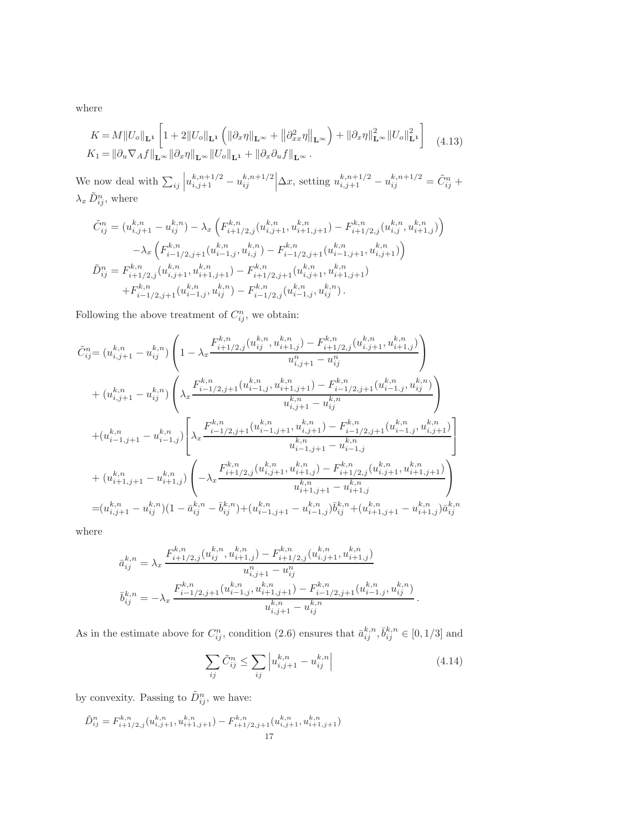where

<span id="page-17-1"></span>
$$
K = M||U_o||_{\mathbf{L}^1} \left[ 1 + 2||U_o||_{\mathbf{L}^1} \left( \|\partial_x \eta\|_{\mathbf{L}^\infty} + \|\partial_{xx}^2 \eta\|_{\mathbf{L}^\infty} \right) + \|\partial_x \eta\|_{\mathbf{L}^\infty}^2 ||U_o||_{\mathbf{L}^1}^2 \right]
$$
  
\n
$$
K_1 = ||\partial_u \nabla_A f||_{\mathbf{L}^\infty} ||\partial_x \eta||_{\mathbf{L}^\infty} ||U_o||_{\mathbf{L}^1} + ||\partial_x \partial_u f||_{\mathbf{L}^\infty}.
$$
\n(4.13)

We now deal with  $\sum_{ij} \left| u_{i,j+1}^{k,n+1/2} - u_{ij}^{k,n+1/2} \right|$  $\int_{i,j}^{k,n+1/2} \left| \Delta x, \text{ setting } u_{i,j+1}^{k,n+1/2} - u_{ij}^{k,n+1/2} \right| = \tilde{C}_{ij}^n +$  $\lambda_x \tilde{D}_{ij}^n$ , where

$$
\begin{split} \tilde{C}^n_{ij} &= \big(u^{k,n}_{i,j+1} - u^{k,n}_{ij}\big) - \lambda_x \left(F^{k,n}_{i+1/2,j}(u^{k,n}_{i,j+1},u^{k,n}_{i+1,j+1}) - F^{k,n}_{i+1/2,j}(u^{k,n}_{i,j},u^{k,n}_{i+1,j})\right) \\ &\quad - \lambda_x \left(F^{k,n}_{i-1/2,j+1}(u^{k,n}_{i-1,j},u^{k,n}_{i,j}) - F^{k,n}_{i-1/2,j+1}(u^{k,n}_{i-1,j+1},u^{k,n}_{i,j+1})\right) \\ \tilde{D}^n_{ij} &= F^{k,n}_{i+1/2,j}(u^{k,n}_{i,j+1},u^{k,n}_{i+1,j+1}) - F^{k,n}_{i+1/2,j+1}(u^{k,n}_{i,j+1},u^{k,n}_{i+1,j+1}) \\ &\quad + F^{k,n}_{i-1/2,j+1}(u^{k,n}_{i-1,j},u^{k,n}_{ij}) - F^{k,n}_{i-1/2,j}(u^{k,n}_{i-1,j},u^{k,n}_{ij}). \end{split}
$$

Following the above treatment of  $C_{ij}^n$ , we obtain:

$$
\tilde{C}_{ij}^{n} = (u_{i,j+1}^{k,n} - u_{ij}^{k,n}) \left( 1 - \lambda_x \frac{F_{i+1/2,j}^{k,n} (u_{ij}^{k,n}, u_{i+1,j}^{k,n}) - F_{i+1/2,j}^{k,n} (u_{i,j+1}^{k,n}, u_{i+1,j}^{k,n})}{u_{i,j+1}^n - u_{ij}^n} \right) \n+ (u_{i,j+1}^{k,n} - u_{ij}^{k,n}) \left( \lambda_x \frac{F_{i-1/2,j+1}^{k,n} (u_{i-1,j}^{k,n}, u_{i+1,j+1}^{k,n}) - F_{i-1/2,j+1}^{k,n} (u_{i-1,j}^{k,n}, u_{ij}^{k,n})}{u_{i,j+1}^{k,n} - u_{ij}^{k,n}} \right) \n+ (u_{i-1,j+1}^{k,n} - u_{i-1,j}^{k,n}) \left[ \lambda_x \frac{F_{i-1/2,j+1}^{k,n} (u_{i-1,j+1}^{k,n}, u_{i,j+1}^{k,n}) - F_{i-1/2,j+1}^{k,n} (u_{i-1,j}^{k,n}, u_{i,j+1}^{k,n})}{u_{i-1,j+1}^{k,n} - u_{i-1,j}^{k,n}} \right] \n+ (u_{i+1,j+1}^{k,n} - u_{i+1,j}^{k,n}) \left( -\lambda_x \frac{F_{i+1/2,j}^{k,n} (u_{i,j+1}^{k,n}, u_{i+1,j}^{k,n}) - F_{i+1/2,j}^{k,n} (u_{i,j+1}^{k,n}, u_{i+1,j+1}^{k,n})}{u_{i+1,j+1}^{k,n} - u_{i+1,j}^{k,n}} \right) \n= (u_{i,j+1}^{k,n} - u_{ij}^{k,n}) (1 - \bar{a}_{ij}^{k,n} - \bar{b}_{ij}^{k,n}) + (u_{i-1,j+1}^{k,n} - u_{i-1,j}^{k,n}) \bar{b}_{ij}^{k,n} + (u_{i+1,j+1}^{k,n} - u_{i+1,j}^{k,n}) \bar{a}_{ij}^{k,n}
$$

where

$$
\bar{a}_{ij}^{k,n} = \lambda_x \frac{F_{i+1/2,j}^{k,n}(u_{ij}^{k,n}, u_{i+1,j}^{k,n}) - F_{i+1/2,j}^{k,n}(u_{i,j+1}^{k,n}, u_{i+1,j}^{k,n})}{u_{i,j+1}^n - u_{ij}^n}
$$
  

$$
\bar{b}_{ij}^{k,n} = -\lambda_x \frac{F_{i-1/2,j+1}^{k,n}(u_{i-1,j}^{k,n}, u_{i+1,j+1}^{k,n}) - F_{i-1/2,j+1}^{k,n}(u_{i-1,j}^{k,n}, u_{ij}^{k,n})}{u_{i,j+1}^{k,n} - u_{ij}^{k,n}}.
$$

As in the estimate above for  $C_{ij}^n$ , condition [\(2.6\)](#page-4-0) ensures that  $\bar{a}_{ij}^{k,n}, \bar{b}_{ij}^{k,n} \in [0,1/3]$  and

$$
\sum_{ij} \tilde{C}_{ij}^n \le \sum_{ij} \left| u_{i,j+1}^{k,n} - u_{ij}^{k,n} \right| \tag{4.14}
$$

by convexity. Passing to  $\tilde{D}_{ij}^n$ , we have:

<span id="page-17-0"></span>
$$
\tilde{D}_{ij}^n = F_{i+1/2,j}^{k,n}(u_{i,j+1}^{k,n}, u_{i+1,j+1}^{k,n}) - F_{i+1/2,j+1}^{k,n}(u_{i,j+1}^{k,n}, u_{i+1,j+1}^{k,n})
$$
\n
$$
17
$$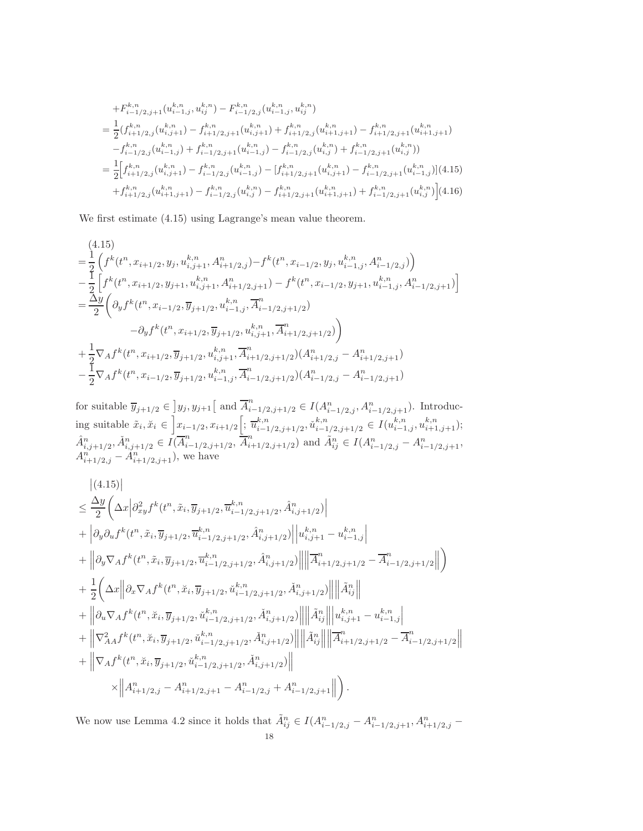$$
+F_{i-1/2,j+1}^{k,n}(u_{i-1,j}^{k,n},u_{ij}^{k,n})-F_{i-1/2,j}^{k,n}(u_{i-1,j}^{k,n},u_{ij}^{k,n})
$$
\n
$$
=\frac{1}{2}(f_{i+1/2,j}^{k,n}(u_{i,j+1}^{k,n})-f_{i+1/2,j+1}^{k,n}(u_{i,j+1}^{k,n})+f_{i+1/2,j}^{k,n}(u_{i+1,j+1}^{k,n})-f_{i+1/2,j+1}^{k,n}(u_{i+1,j+1}^{k,n})
$$
\n
$$
-f_{i-1/2,j}^{k,n}(u_{i-1,j}^{k,n})+f_{i-1/2,j+1}^{k,n}(u_{i-1,j}^{k,n})-f_{i-1/2,j}^{k,n}(u_{i,j}^{k,n})+f_{i-1/2,j+1}^{k,n}(u_{i,j}^{k,n}))
$$
\n
$$
=\frac{1}{2}\Big[f_{i+1/2,j}^{k,n}(u_{i,j+1}^{k,n})-f_{i-1/2,j}^{k,n}(u_{i-1,j}^{k,n})-[f_{i+1/2,j+1}^{k,n}(u_{i,j+1}^{k,n})-f_{i-1/2,j+1}^{k,n}(u_{i-1,j}^{k,n})](4.15)
$$
\n
$$
+f_{i+1/2,j}^{k,n}(u_{i+1,j+1}^{k,n})-f_{i-1/2,j}^{k,n}(u_{i,j}^{k,n})-f_{i+1/2,j+1}^{k,n}(u_{i+1,j+1}^{k,n})+f_{i-1/2,j+1}^{k,n}(u_{i,j}^{k,n})\Big](4.16)
$$

We first estimate [\(4.15\)](#page-17-0) using Lagrange's mean value theorem.

$$
\begin{split} &\left(4.15\right)\\ =&\ \frac{1}{2}\left( f^{k}(t^{n},x_{i+1/2},y_{j},u_{i,j+1}^{k,n},A_{i+1/2,j}^{n})-f^{k}(t^{n},x_{i-1/2},y_{j},u_{i-1,j}^{k,n},A_{i-1/2,j}^{n})\right)\\ &-\frac{1}{2}\left[ f^{k}(t^{n},x_{i+1/2},y_{j+1},u_{i,j+1}^{k,n},A_{i+1/2,j+1}^{n})-f^{k}(t^{n},x_{i-1/2},y_{j+1},u_{i-1,j}^{k,n},A_{i-1/2,j+1}^{n})\right]\\ =&\frac{\Delta y}{2}\left( \partial_{y}f^{k}(t^{n},x_{i-1/2},\overline{y}_{j+1/2},u_{i-1,j}^{k,n},\overline{A}_{i-1/2,j+1/2}^{n})\right)\\ &\quad\quad-\partial_{y}f^{k}(t^{n},x_{i+1/2},\overline{y}_{j+1/2},u_{i,j+1}^{k,n},\overline{A}_{i+1/2,j+1/2}^{n})\right)\\ &+\frac{1}{2}\nabla_{A}f^{k}(t^{n},x_{i+1/2},\overline{y}_{j+1/2},u_{i,j+1}^{k,n},\overline{A}_{i+1/2,j+1/2}^{n})(A_{i+1/2,j}^{n}-A_{i+1/2,j+1}^{n})\\ &-\frac{1}{2}\nabla_{A}f^{k}(t^{n},x_{i-1/2},\overline{y}_{j+1/2},u_{i-1,j}^{k,n},\overline{A}_{i-1/2,j+1/2}^{n})(A_{i-1/2,j}^{n}-A_{i-1/2,j+1}^{n}) \end{split}
$$

for suitable  $\overline{y}_{j+1/2} \in [y_j, y_{j+1}]$  and  $\overline{A}_{i-1/2,j+1/2}^n \in I(A_{i-1/2,j}^n, A_{i-1/2,j+1}^n)$ . Introducing suitable  $\tilde{x}_i, \tilde{x}_i \in \left] x_{i-1/2}, x_{i+1/2} \right[; \frac{\overline{u}_{i-1}^{k,n}}{\overline{u}_{i-1}^{k,n}}$  $_{i-1/2,j+1/2}^{k,n}, \check{u}_{i-1}^{k,n}$  $k, n \n i-1/2, j+1/2 \in I(u_{i-1,j}^{k,n}, u_{i+1,j+1}^{k,n});$  $\hat{A}_{i,j+1/2}^n, \check{A}_{i,j+1/2}^n \in \overline{I}(\overline{A}_{i}^n)$  $\sum_{i=1/2,j+1/2}^{n}$ ,  $\overline{A}_{i}^{n}$  $\tilde{A}_{i+1/2,j+1/2}^n$  and  $\tilde{A}_{ij}^n \in I(A_{i-1/2,j}^n - A_{i-1/2,j+1}^n,$  $A_{i+1/2,j}^n - \tilde{A}_{i+1/2,j+1}^n$ , we have

$$
\begin{split} &\|\langle 4.15\rangle\|\\ &\leq \frac{\Delta y}{2}\bigg(\Delta x \Big|\partial^2_{xy}f^k(t^n,\tilde{x}_i,\overline{y}_{j+1/2},\overline{u}^{k,n}_{i-1/2,j+1/2},\hat{A}^n_{i,j+1/2})\bigg|\\ &+\Big|\partial_y\partial_u f^k(t^n,\tilde{x}_i,\overline{y}_{j+1/2},\overline{u}^{k,n}_{i-1/2,j+1/2},\hat{A}^n_{i,j+1/2})\Big|\Big|u^{k,n}_{i,j+1}-u^{k,n}_{i-1,j}\Big|\\ &+\Big\|\partial_y\nabla_A f^k(t^n,\tilde{x}_i,\overline{y}_{j+1/2},\overline{u}^{k,n}_{i-1/2,j+1/2},\hat{A}^n_{i,j+1/2})\Big|\Big|\Big|\overline{A}^n_{i+1/2,j+1/2}-\overline{A}^n_{i-1/2,j+1/2}\Big|\Big|\Big)\\ &+\frac{1}{2}\bigg(\Delta x \Big\|\partial_x\nabla_A f^k(t^n,\check{x}_i,\overline{y}_{j+1/2},\check{u}^{k,n}_{i-1/2,j+1/2},\check{A}^n_{i,j+1/2})\Big|\Big|\Big|\widetilde{A}^n_{ij}\Big\|\\ &+\Big\|\partial_u\nabla_A f^k(t^n,\check{x}_i,\overline{y}_{j+1/2},\check{u}^{k,n}_{i-1/2,j+1/2},\check{A}^n_{i,j+1/2})\Big|\Big|\Big|\tilde{A}^n_{ij}\Big|\Big|u^{k,n}_{i,j+1}-u^{k,n}_{i-1,j}\Big|\\ &+\Big\|\nabla^2_{AA} f^k(t^n,\check{x}_i,\overline{y}_{j+1/2},\check{u}^{k,n}_{i-1/2,j+1/2},\check{A}^n_{i,j+1/2})\Big|\Big|\Big|\tilde{A}^n_{ij}\Big|\Big|\Big|\overline{A}^n_{i+1/2,j+1/2}-\overline{A}^n_{i-1/2,j+1/2}\Big|\Big|\\ &+\Big\|\nabla_A f^k(t^n,\check{x}_i,\overline{y}_{j+1/2},\check{u}^{k,n}_{i-1/2,j+1/2},\check{A}^n_{i,j+1/2})\Big|\Big|\\ &\times\Big\|A^n
$$

We now use Lemma [4.2](#page-10-5) since it holds that  $\tilde{A}_{ij}^n \in I(A_{i-1/2,j}^n - A_{i-1/2,j+1}^n, A_{i+1/2,j}^n - A_{i-1/2,j+1}^n)$ 18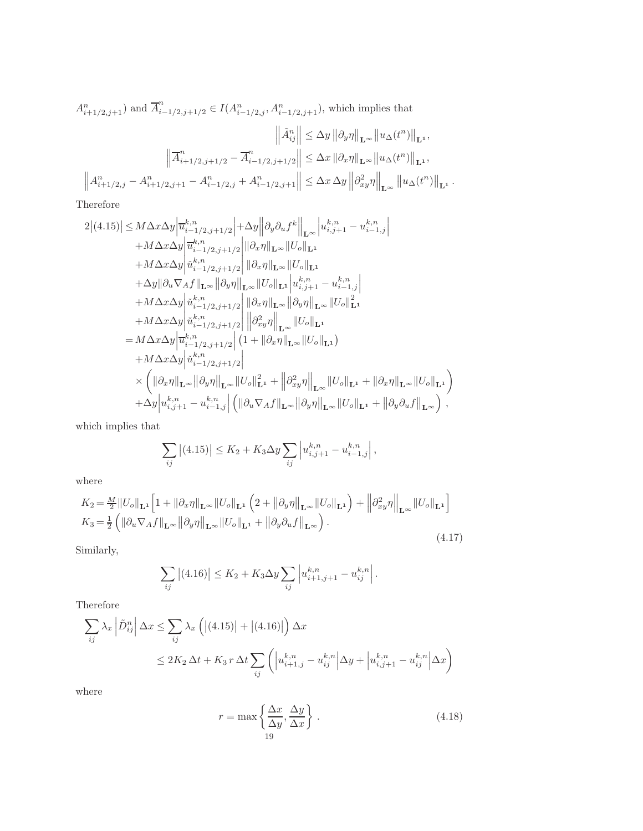$A_{i+1/2,j+1}^n$ ) and  $\overline{A}_{i-1/2,j+1/2}^n \in I(A_{i-1/2,j}^n, A_{i-1/2,j+1}^n)$ , which implies that

$$
\left\| \tilde{A}_{ij}^n \right\| \leq \Delta y \left\| \partial_y \eta \right\|_{\mathbf{L}^\infty} \left\| u_\Delta(t^n) \right\|_{\mathbf{L}^1},
$$
  

$$
\left\| \overline{A}_{i+1/2,j+1/2}^n - \overline{A}_{i-1/2,j+1/2}^n \right\| \leq \Delta x \left\| \partial_x \eta \right\|_{\mathbf{L}^\infty} \left\| u_\Delta(t^n) \right\|_{\mathbf{L}^1},
$$
  

$$
\left\| A_{i+1/2,j}^n - A_{i+1/2,j+1}^n - A_{i-1/2,j}^n + A_{i-1/2,j+1}^n \right\| \leq \Delta x \, \Delta y \left\| \partial_{xy}^2 \eta \right\|_{\mathbf{L}^\infty} \left\| u_\Delta(t^n) \right\|_{\mathbf{L}^1}.
$$

Therefore

$$
2|(4.15)| \leq M\Delta x \Delta y \left| \overline{u}_{i-1/2,j+1/2}^{k,n} \right| + \Delta y \left\| \partial_y \partial_u f^k \right\|_{\mathbf{L}^{\infty}} \left| u_{i,j+1}^{k,n} - u_{i-1,j}^{k,n} \right| + M\Delta x \Delta y \left| \overline{u}_{i-1/2,j+1/2}^{k,n} \right| \left\| \partial_x \eta \right\|_{\mathbf{L}^{\infty}} \|U_o\|_{\mathbf{L}^1} + M\Delta x \Delta y \left| \overline{u}_{i-1/2,j+1/2}^{k,n} \right| \left\| \partial_x \eta \right\|_{\mathbf{L}^{\infty}} \|U_o\|_{\mathbf{L}^1} + \Delta y \|\partial_u \nabla_A f\|_{\mathbf{L}^{\infty}} \left\| \partial_y \eta \right\|_{\mathbf{L}^{\infty}} \|U_o\|_{\mathbf{L}^1} \left| u_{i,j+1}^{k,n} - u_{i-1,j}^{k,n} \right| + M\Delta x \Delta y \left| \overline{u}_{i-1/2,j+1/2}^{k,n} \right| \left\| \partial_x \eta \right\|_{\mathbf{L}^{\infty}} \| \partial_y \eta \right\|_{\mathbf{L}^{\infty}} \|U_o\|_{\mathbf{L}^1} + M\Delta x \Delta y \left| \overline{u}_{i-1/2,j+1/2}^{k,n} \right| \left\| \partial_x^2 y \eta \right\|_{\mathbf{L}^{\infty}} \|U_o\|_{\mathbf{L}^1} = M\Delta x \Delta y \left| \overline{u}_{i-1/2,j+1/2}^{k,n} \right| \left( 1 + \|\partial_x \eta\|_{\mathbf{L}^{\infty}} \|U_o\|_{\mathbf{L}^1} \right) + M\Delta x \Delta y \left| \overline{u}_{i-1/2,j+1/2}^{k,n} \right| \left( 1 + \|\partial_x \eta\|_{\mathbf{L}^{\infty}} \|U_o\|_{\mathbf{L}^1} \right) + M\Delta x \Delta y \left| \overline{u}_{i-1/2,j+1/2}^{k,n} \right| \times \left( \|\partial_x \eta\|_{\mathbf{L}
$$

which implies that

$$
\sum_{ij} |(4.15)| \le K_2 + K_3 \Delta y \sum_{ij} \left| u_{i,j+1}^{k,n} - u_{i-1,j}^{k,n} \right|,
$$

<span id="page-19-0"></span>where

$$
K_2 = \frac{M}{2} ||U_o||_{\mathbf{L}^1} \left[ 1 + ||\partial_x \eta||_{\mathbf{L}^\infty} ||U_o||_{\mathbf{L}^1} \left( 2 + ||\partial_y \eta||_{\mathbf{L}^\infty} ||U_o||_{\mathbf{L}^1} \right) + \left||\partial_{xy}^2 \eta||_{\mathbf{L}^\infty} ||U_o||_{\mathbf{L}^1} \right] K_3 = \frac{1}{2} \left( ||\partial_u \nabla_A f||_{\mathbf{L}^\infty} ||\partial_y \eta||_{\mathbf{L}^\infty} ||U_o||_{\mathbf{L}^1} + ||\partial_y \partial_u f||_{\mathbf{L}^\infty} \right).
$$
\n(4.17)

Similarly,

$$
\sum_{ij} |(4.16)| \le K_2 + K_3 \Delta y \sum_{ij} \left| u_{i+1,j+1}^{k,n} - u_{ij}^{k,n} \right|.
$$

Therefore

$$
\sum_{ij} \lambda_x \left| \tilde{D}_{ij}^n \right| \Delta x \le \sum_{ij} \lambda_x \left( \left| (4.15) \right| + \left| (4.16) \right| \right) \Delta x
$$
  

$$
\le 2K_2 \Delta t + K_3 r \Delta t \sum_{ij} \left( \left| u_{i+1,j}^{k,n} - u_{ij}^{k,n} \right| \Delta y + \left| u_{i,j+1}^{k,n} - u_{ij}^{k,n} \right| \Delta x \right)
$$

<span id="page-19-1"></span>where

$$
r = \max\left\{\frac{\Delta x}{\Delta y}, \frac{\Delta y}{\Delta x}\right\}.
$$
\n(4.18)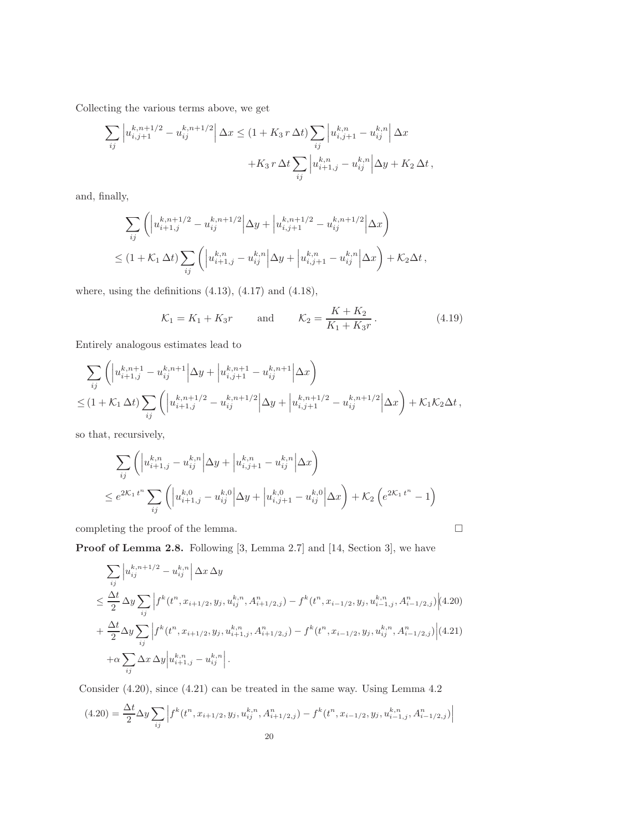Collecting the various terms above, we get

$$
\sum_{ij} \left| u_{i,j+1}^{k,n+1/2} - u_{ij}^{k,n+1/2} \right| \Delta x \le (1 + K_3 r \Delta t) \sum_{ij} \left| u_{i,j+1}^{k,n} - u_{ij}^{k,n} \right| \Delta x + K_3 r \Delta t \sum_{ij} \left| u_{i+1,j}^{k,n} - u_{ij}^{k,n} \right| \Delta y + K_2 \Delta t,
$$

and, finally,

$$
\sum_{ij} \left( \left| u_{i+1,j}^{k,n+1/2} - u_{ij}^{k,n+1/2} \right| \Delta y + \left| u_{i,j+1}^{k,n+1/2} - u_{ij}^{k,n+1/2} \right| \Delta x \right)
$$
  

$$
\leq (1 + \mathcal{K}_1 \Delta t) \sum_{ij} \left( \left| u_{i+1,j}^{k,n} - u_{ij}^{k,n} \right| \Delta y + \left| u_{i,j+1}^{k,n} - u_{ij}^{k,n} \right| \Delta x \right) + \mathcal{K}_2 \Delta t,
$$

where, using the definitions  $(4.13)$ ,  $(4.17)$  and  $(4.18)$ ,

<span id="page-20-0"></span>
$$
K_1 = K_1 + K_3 r
$$
 and  $K_2 = \frac{K + K_2}{K_1 + K_3 r}$ . (4.19)

Entirely analogous estimates lead to

$$
\sum_{ij} \left( \left| u_{i+1,j}^{k,n+1} - u_{ij}^{k,n+1} \right| \Delta y + \left| u_{i,j+1}^{k,n+1} - u_{ij}^{k,n+1} \right| \Delta x \right)
$$
  

$$
\leq (1 + \mathcal{K}_1 \Delta t) \sum_{ij} \left( \left| u_{i+1,j}^{k,n+1/2} - u_{ij}^{k,n+1/2} \right| \Delta y + \left| u_{i,j+1}^{k,n+1/2} - u_{ij}^{k,n+1/2} \right| \Delta x \right) + \mathcal{K}_1 \mathcal{K}_2 \Delta t,
$$

so that, recursively,

$$
\sum_{ij} \left( \left| u_{i+1,j}^{k,n} - u_{ij}^{k,n} \right| \Delta y + \left| u_{i,j+1}^{k,n} - u_{ij}^{k,n} \right| \Delta x \right)
$$
\n
$$
\leq e^{2\mathcal{K}_1 t^n} \sum_{ij} \left( \left| u_{i+1,j}^{k,0} - u_{ij}^{k,0} \right| \Delta y + \left| u_{i,j+1}^{k,0} - u_{ij}^{k,0} \right| \Delta x \right) + \mathcal{K}_2 \left( e^{2\mathcal{K}_1 t^n} - 1 \right)
$$

completing the proof of the lemma.  $\hfill \square$ 

Proof of Lemma [2.8.](#page-6-2) Following [\[3,](#page-22-9) Lemma 2.7] and [\[14,](#page-22-18) Section 3], we have

<span id="page-20-1"></span>
$$
\sum_{ij} \left| u_{ij}^{k,n+1/2} - u_{ij}^{k,n} \right| \Delta x \, \Delta y
$$
\n
$$
\leq \frac{\Delta t}{2} \, \Delta y \sum_{ij} \left| f^k(t^n, x_{i+1/2}, y_j, u_{ij}^{k,n}, A_{i+1/2,j}^n) - f^k(t^n, x_{i-1/2}, y_j, u_{i-1,j}^{k,n}, A_{i-1/2,j}^n) \right| (4.20)
$$
\n
$$
+ \frac{\Delta t}{2} \Delta y \sum_{ij} \left| f^k(t^n, x_{i+1/2}, y_j, u_{i+1,j}^{k,n}, A_{i+1/2,j}^n) - f^k(t^n, x_{i-1/2}, y_j, u_{ij}^{k,n}, A_{i-1/2,j}^n) \right| (4.21)
$$
\n
$$
+ \alpha \sum_{ij} \Delta x \, \Delta y \left| u_{i+1,j}^{k,n} - u_{ij}^{k,n} \right|.
$$

Consider [\(4.20\)](#page-20-1), since [\(4.21\)](#page-20-1) can be treated in the same way. Using Lemma [4.2](#page-10-5)

$$
(4.20) = \frac{\Delta t}{2} \Delta y \sum_{ij} \left| f^k(t^n, x_{i+1/2}, y_j, u_{ij}^{k,n}, A_{i+1/2,j}^n) - f^k(t^n, x_{i-1/2}, y_j, u_{i-1,j}^{k,n}, A_{i-1/2,j}^n) \right|
$$
  
20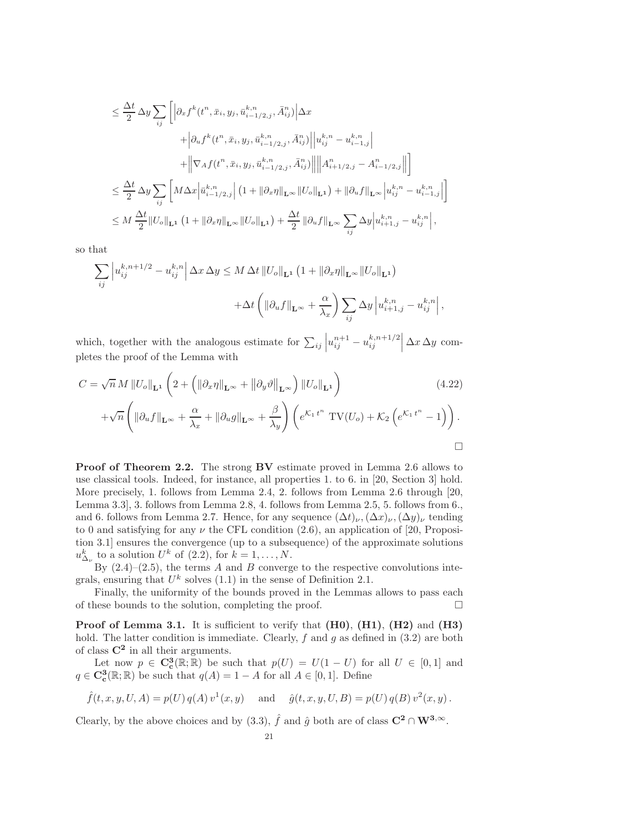$$
\leq \frac{\Delta t}{2} \Delta y \sum_{ij} \left[ \left| \partial_x f^k(t^n, \bar{x}_i, y_j, \bar{u}_{i-1/2,j}^{k,n}, \bar{A}_{ij}^n) \right| \Delta x + \left| \partial_u f^k(t^n, \bar{x}_i, y_j, \bar{u}_{i-1/2,j}^{k,n}, \bar{A}_{ij}^n) \right| \left| u_{ij}^{k,n} - u_{i-1,j}^{k,n} \right| + \left\| \nabla_A f(t^n, \bar{x}_i, y_j, \bar{u}_{i-1/2,j}^{k,n}, \bar{A}_{ij}^n) \right| \left\| A_{i+1/2,j}^n - A_{i-1/2,j}^n \right\| \right] \n\leq \frac{\Delta t}{2} \Delta y \sum_{ij} \left[ M \Delta x \left| \bar{u}_{i-1/2,j}^{k,n} \right| \left( 1 + \left\| \partial_x \eta \right\|_{\mathbf{L}^\infty} \left\| U_o \right\|_{\mathbf{L}^1} \right) + \left\| \partial_u f \right\|_{\mathbf{L}^\infty} \left| u_{ij}^{k,n} - u_{i-1,j}^{k,n} \right| \right] \n\leq M \frac{\Delta t}{2} \left\| U_o \right\|_{\mathbf{L}^1} \left( 1 + \left\| \partial_x \eta \right\|_{\mathbf{L}^\infty} \left\| U_o \right\|_{\mathbf{L}^1} \right) + \frac{\Delta t}{2} \left\| \partial_u f \right\|_{\mathbf{L}^\infty} \sum_{ij} \Delta y \left| u_{i+1,j}^{k,n} - u_{ij}^{k,n} \right|,
$$

so that

$$
\sum_{ij} \left| u_{ij}^{k,n+1/2} - u_{ij}^{k,n} \right| \Delta x \, \Delta y \le M \, \Delta t \, \|U_o\|_{\mathbf{L}^1} \left( 1 + \|\partial_x \eta\|_{\mathbf{L}^\infty} \|U_o\|_{\mathbf{L}^1} \right)
$$

$$
+ \Delta t \left( \|\partial_u f\|_{\mathbf{L}^\infty} + \frac{\alpha}{\lambda_x} \right) \sum_{ij} \Delta y \left| u_{i+1,j}^{k,n} - u_{ij}^{k,n} \right|,
$$

which, together with the analogous estimate for  $\sum_{ij} \left| u_{ij}^{n+1} - u_{ij}^{k,n+1/2} \right| \Delta x \Delta y$  completes the proof of the Lemma with

<span id="page-21-0"></span>
$$
C = \sqrt{n} M ||U_o||_{\mathbf{L}^1} \left( 2 + \left( ||\partial_x \eta||_{\mathbf{L}^{\infty}} + ||\partial_y \vartheta||_{\mathbf{L}^{\infty}} \right) ||U_o||_{\mathbf{L}^1} \right)
$$
(4.22)  
+ $\sqrt{n} \left( ||\partial_x f||_{\mathbf{L}^{\infty}} + \frac{\alpha}{2} + ||\partial_x g||_{\mathbf{L}^{\infty}} + \frac{\beta}{2} \right) \left( e^{\mathcal{K}_1 t^n} \operatorname{TV}(U_x) + \mathcal{K}_2 \left( e^{\mathcal{K}_1 t^n} - 1 \right) \right)$ 

$$
+\sqrt{n}\left(\left\|\partial_{u}f\right\|_{\mathbf{L}^{\infty}}+\frac{\alpha}{\lambda_{x}}+\left\|\partial_{u}g\right\|_{\mathbf{L}^{\infty}}+\frac{\beta}{\lambda_{y}}\right)\left(e^{\mathcal{K}_{1}t^{n}}\operatorname{TV}(U_{o})+\mathcal{K}_{2}\left(e^{\mathcal{K}_{1}t^{n}}-1\right)\right).
$$

Proof of Theorem [2.2.](#page-4-2) The strong BV estimate proved in Lemma [2.6](#page-5-4) allows to use classical tools. Indeed, for instance, all properties 1. to 6. in [\[20,](#page-22-19) Section 3] hold. More precisely, 1. follows from Lemma [2.4,](#page-5-0) 2. follows from Lemma [2.6](#page-5-4) through [\[20,](#page-22-19) Lemma 3.3], 3. follows from Lemma [2.8,](#page-6-2) 4. follows from Lemma [2.5,](#page-5-2) 5. follows from 6., and 6. follows from Lemma [2.7.](#page-6-3) Hence, for any sequence  $(\Delta t)_{\nu}$ ,  $(\Delta x)_{\nu}$ ,  $(\Delta y)_{\nu}$  tending to 0 and satisfying for any  $\nu$  the CFL condition [\(2.6\)](#page-4-0), an application of [\[20,](#page-22-19) Proposition 3.1] ensures the convergence (up to a subsequence) of the approximate solutions  $u_{\Delta_{\nu}}^{k}$  to a solution  $U^{k}$  of  $(2.2)$ , for  $k = 1, ..., N$ .

By  $(2.4)$ – $(2.5)$ , the terms A and B converge to the respective convolutions integrals, ensuring that  $U^k$  solves  $(1.1)$  in the sense of Definition [2.1.](#page-3-0)

Finally, the uniformity of the bounds proved in the Lemmas allows to pass each of these bounds to the solution, completing the proof.  $\Box$ 

**Proof of Lemma [3.1.](#page-7-3)** It is sufficient to verify that  $(H0)$ ,  $(H1)$ ,  $(H2)$  and  $(H3)$ hold. The latter condition is immediate. Clearly,  $f$  and  $g$  as defined in  $(3.2)$  are both of class  $\mathbb{C}^2$  in all their arguments.

Let now  $p \in \mathbb{C}_{\text{c}}^3(\mathbb{R}; \mathbb{R})$  be such that  $p(U) = U(1-U)$  for all  $U \in [0,1]$  and  $q \in \mathbf{C}^3_{\mathbf{c}}(\mathbb{R}; \mathbb{R})$  be such that  $q(A) = 1 - A$  for all  $A \in [0, 1]$ . Define

$$
\hat{f}(t, x, y, U, A) = p(U) q(A) v^{1}(x, y)
$$
 and  $\hat{g}(t, x, y, U, B) = p(U) q(B) v^{2}(x, y)$ .

Clearly, by the above choices and by [\(3.3\)](#page-7-2),  $\hat{f}$  and  $\hat{g}$  both are of class  $\mathbb{C}^2 \cap \mathbb{W}^{3,\infty}$ .